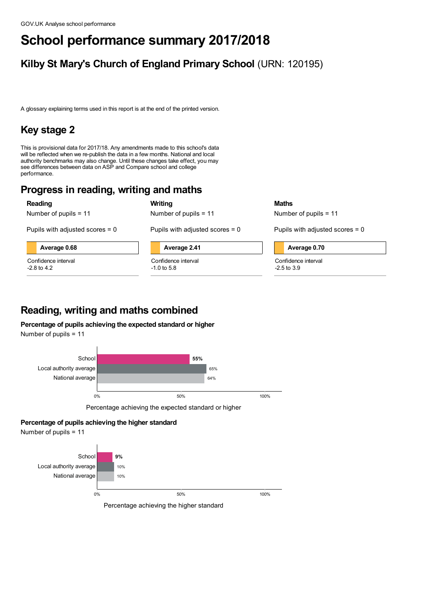# **School performance summary 2017/2018**

# **Kilby St Mary's Church of England Primary School** (URN: 120195)

A glossary explaining terms used in this report is at the end of the printed version.

# **Key stage 2**

This is provisional data for 2017/18. Any amendments made to this school's data will be reflected when we re-publish the data in <sup>a</sup> few months. National and local authority benchmarks may also change. Until these changes take effect, you may see differences between data on ASP and Compare school and college performance.

# **Progress in reading, writing and maths**

**Reading**

Number of pupils = 11

Pupils with adjusted scores  $= 0$ 

**Average 0.68**

Confidence interval -2.8 to 4.2

| Number of pupils $= 11$           |
|-----------------------------------|
| Pupils with adjusted scores $= 0$ |

**Writing**



Confidence interval -1.0 to 5.8



Number of pupils = 11

Pupils with adjusted scores  $= 0$ 

### **Average 0.70**

Confidence interval -2.5 to 3.9

# **Reading, writing and maths combined**

**Percentage of pupils achieving the expected standard or higher**

Number of pupils = 11



### **Percentage of pupils achieving the higher standard**

Number of pupils = 11



Percentage achieving the higher standard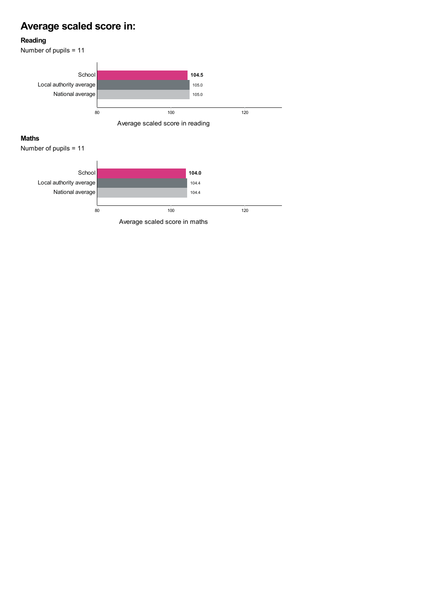# **Average scaled score in:**

### **Reading**

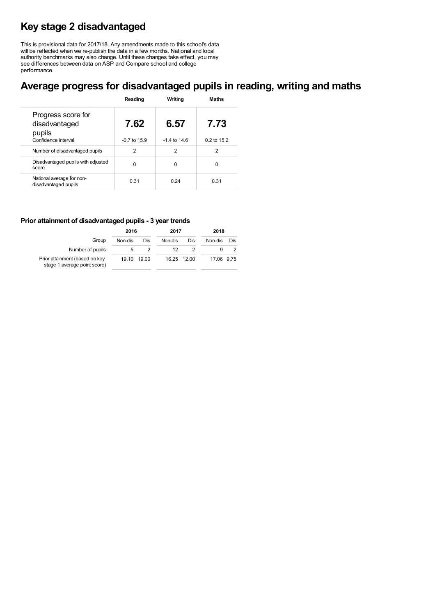# **Key stage 2 disadvantaged**

This is provisional data for 2017/18. Any amendments made to this school's data will be reflected when we re-publish the data in <sup>a</sup> few months. National and local authority benchmarks may also change. Until these changes take effect, you may see differences between data on ASP and Compare school and college performance.

## **Average progress for disadvantaged pupils in reading, writing and maths**

|                                                                      | Reading                  | Writina                  | <b>Maths</b>        |
|----------------------------------------------------------------------|--------------------------|--------------------------|---------------------|
| Progress score for<br>disadvantaged<br>pupils<br>Confidence interval | 7.62<br>$-0.7$ to $15.9$ | 6.57<br>$-1.4$ to $14.6$ | 7.73<br>0.2 to 15.2 |
| Number of disadvantaged pupils                                       | 2                        | 2                        | 2                   |
| Disadvantaged pupils with adjusted<br>score                          | O                        | O                        | $\Omega$            |
| National average for non-<br>disadvantaged pupils                    | 0.31                     | 0.24                     | 0.31                |

### **Prior attainment of disadvantaged pupils - 3 year trends**

|                                                                | 2016    |       | 2017    |             | 2018       |     |  |
|----------------------------------------------------------------|---------|-------|---------|-------------|------------|-----|--|
| Group                                                          | Non-dis | Dis   | Non-dis | Dis         | Non-dis    | Dis |  |
| Number of pupils                                               |         |       | 12      |             |            |     |  |
| Prior attainment (based on key<br>stage 1 average point score) | 19.10   | 19.00 |         | 16.25 12.00 | 17.06 9.75 |     |  |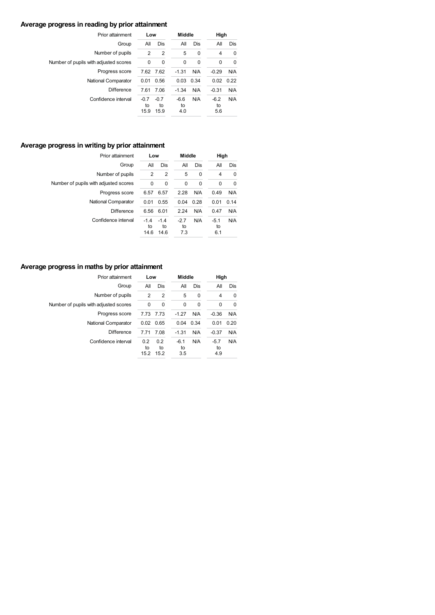### **Average progress in reading by prior attainment**

| Prior attainment                      | Low                  |                      | <b>Middle</b>       |      | High                |      |  |
|---------------------------------------|----------------------|----------------------|---------------------|------|---------------------|------|--|
| Group                                 | All                  | Dis                  | All                 | Dis  | Αll                 | Dis  |  |
| Number of pupils                      | 2                    | $\overline{2}$       | 5                   | 0    | 4                   | 0    |  |
| Number of pupils with adjusted scores | 0                    | 0                    | 0                   | 0    | 0                   | 0    |  |
| Progress score                        | 7.62 7.62            |                      | $-1.31$             | N/A  | $-0.29$             | N/A  |  |
| National Comparator                   | 0.01                 | 0.56                 | 0.03                | 0.34 | 0.02                | 0.22 |  |
| <b>Difference</b>                     | 7.61                 | 7.06                 | $-1.34$             | N/A  | $-0.31$             | N/A  |  |
| Confidence interval                   | $-0.7$<br>to<br>15.9 | $-0.7$<br>to<br>15.9 | $-6.6$<br>to<br>4.0 | N/A  | $-6.2$<br>to<br>5.6 | N/A  |  |

### **Average progress in writing by prior attainment**

| Prior attainment                      | Low                  |                      | <b>Middle</b>       |          | High                |      |
|---------------------------------------|----------------------|----------------------|---------------------|----------|---------------------|------|
| Group                                 | All                  | Dis                  | All                 | Dis      | All                 | Dis  |
| Number of pupils                      | $\overline{2}$       | $\overline{2}$       | 5                   | $\Omega$ | 4                   | 0    |
| Number of pupils with adjusted scores | 0                    | 0                    | 0                   | 0        | 0                   | 0    |
| Progress score                        | 6.57                 | 6.57                 | 2.28                | N/A      | 0.49                | N/A  |
| National Comparator                   | 0.01                 | 0.55                 | 0.04                | 0.28     | 0.01                | 0.14 |
| <b>Difference</b>                     | 6.56                 | 6.01                 | 2.24                | N/A      | 0.47                | N/A  |
| Confidence interval                   | $-1.4$<br>to<br>14.6 | $-1.4$<br>to<br>14.6 | $-2.7$<br>to<br>7.3 | N/A      | $-5.1$<br>to<br>6.1 | N/A  |

### **Average progress in maths by prior attainment**

| Prior attainment                      | Low               |                   | <b>Middle</b>       |          | High                |            |
|---------------------------------------|-------------------|-------------------|---------------------|----------|---------------------|------------|
| Group                                 | All               | Dis               | All                 | Dis      | All                 | <b>Dis</b> |
| Number of pupils                      | 2                 | 2                 | 5                   | 0        | 4                   | 0          |
| Number of pupils with adjusted scores | 0                 | 0                 | $\Omega$            | $\Omega$ | 0                   | 0          |
| Progress score                        |                   | 7.73 7.73         | $-1.27$             | N/A      | $-0.36$             | N/A        |
| National Comparator                   |                   | $0.02$ 0.65       | 0.04                | 0.34     | 0.01                | 0.20       |
| <b>Difference</b>                     | 7.71              | 7.08              | $-1.31$             | N/A      | $-0.37$             | N/A        |
| Confidence interval                   | 0.2<br>to<br>15.2 | 0.2<br>to<br>15.2 | $-6.1$<br>to<br>3.5 | N/A      | $-5.7$<br>to<br>4.9 | N/A        |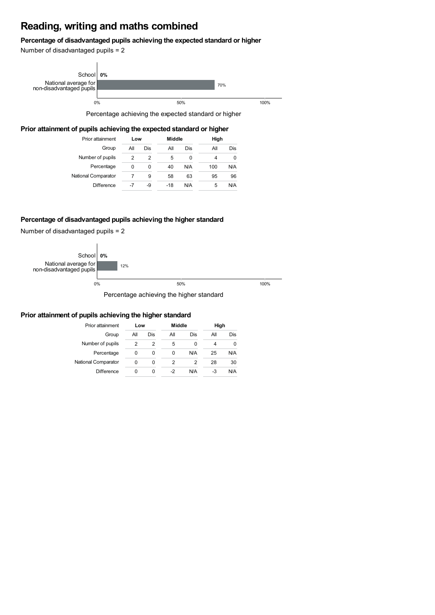# **Reading, writing and maths combined**

### **Percentage of disadvantaged pupils achieving the expected standard or higher**

Number of disadvantaged pupils = 2



Percentage achieving the expected standard or higher

### **Prior attainment of pupils achieving the expected standard or higher**

| Prior attainment    | Low |     | Middle |     | High |     |  |
|---------------------|-----|-----|--------|-----|------|-----|--|
| Group               | All | Dis | All    | Dis | All  | Dis |  |
| Number of pupils    | 2   | 2   | 5      | 0   |      | 0   |  |
| Percentage          | 0   | 0   | 40     | N/A | 100  | N/A |  |
| National Comparator |     | 9   | 58     | 63  | 95   | 96  |  |
| <b>Difference</b>   | -7  | -9  | $-18$  | N/A | 5    | N/A |  |

### **Percentage of disadvantaged pupils achieving the higher standard**

Number of disadvantaged pupils = 2



### **Prior attainment of pupils achieving the higher standard**

| Prior attainment    | Low        |   | Middle |     | High |     |  |
|---------------------|------------|---|--------|-----|------|-----|--|
| Group               | All<br>Dis |   | All    | Dis | All  | Dis |  |
| Number of pupils    | 2          | 2 | 5      | 0   | 4    | O   |  |
| Percentage          | 0          | 0 | 0      | N/A | 25   | N/A |  |
| National Comparator | 0          | 0 | 2      | 2   | 28   | 30  |  |
| <b>Difference</b>   | 0          | O | -2     | N/A | -3   | N/A |  |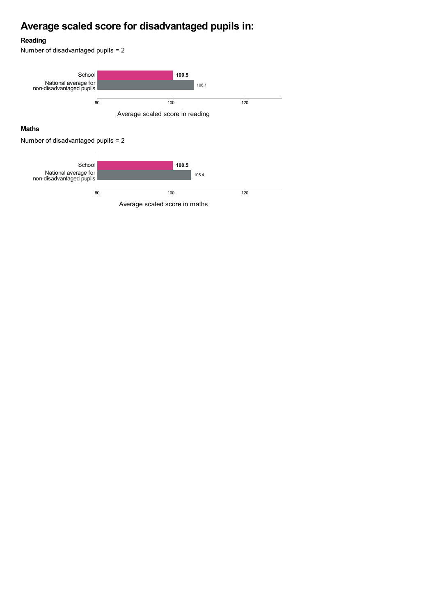# **Average scaled score for disadvantaged pupils in:**

### **Reading**

Number of disadvantaged pupils = 2



### **Maths**

Number of disadvantaged pupils = 2

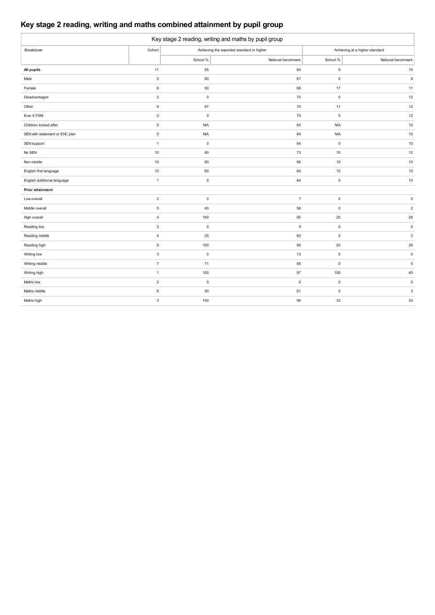## **Key stage 2 reading, writing and maths combined attainment by pupil group**

| Key stage 2 reading, writing and maths by pupil group |                     |             |                                           |              |                                |  |  |  |  |  |
|-------------------------------------------------------|---------------------|-------------|-------------------------------------------|--------------|--------------------------------|--|--|--|--|--|
| Breakdown                                             | Cohort              |             | Achieving the expected standard or higher |              | Achieving at a higher standard |  |  |  |  |  |
|                                                       |                     | School %    | National benchmark                        | School %     | National benchmark             |  |  |  |  |  |
| All pupils                                            | 11                  | 55          | 64                                        | 9            | $10$                           |  |  |  |  |  |
| Male                                                  | $\overline{5}$      | 60          | 61                                        | $\mathsf 0$  | $\bf8$                         |  |  |  |  |  |
| Female                                                | $\boldsymbol{6}$    | 50          | 68                                        | 17           | 11                             |  |  |  |  |  |
| Disadvantaged                                         | $\overline{2}$      | $\mathsf 0$ | 70                                        | $\mathsf 0$  | 12                             |  |  |  |  |  |
| Other                                                 | $\mathsf g$         | 67          | 70                                        | 11           | $12\,$                         |  |  |  |  |  |
| Ever 6 FSM                                            | $\sqrt{2}$          | $\mathbf 0$ | 70                                        | $\mathsf 0$  | $12\,$                         |  |  |  |  |  |
| Children looked after                                 | $\mathsf{O}\xspace$ | <b>N/A</b>  | 65                                        | <b>N/A</b>   | $10$                           |  |  |  |  |  |
| SEN with statement or EHC plan                        | $\pmb{0}$           | <b>N/A</b>  | 64                                        | <b>N/A</b>   | $10$                           |  |  |  |  |  |
| SEN support                                           | $\mathbf{1}$        | $\mathsf 0$ | 64                                        | $\mathsf 0$  | $10\,$                         |  |  |  |  |  |
| No SEN                                                | 10                  | 60          | 73                                        | 10           | $12\,$                         |  |  |  |  |  |
| Non-mobile                                            | 10                  | 60          | 66                                        | 10           | $10$                           |  |  |  |  |  |
| English first language                                | 10                  | 60          | 64                                        | 10           | $10$                           |  |  |  |  |  |
| English additional language                           | $\mathbf{1}$        | $\mathbf 0$ | 64                                        | $\mathsf 0$  | 10                             |  |  |  |  |  |
| Prior attainment                                      |                     |             |                                           |              |                                |  |  |  |  |  |
| Low overall                                           | $\overline{c}$      | $\mathbf 0$ | $\overline{7}$                            | $\mathsf{O}$ | $\mathbf 0$                    |  |  |  |  |  |
| Middle overall                                        | $\,$ 5 $\,$         | 40          | 58                                        | $\mathsf 0$  | $\overline{2}$                 |  |  |  |  |  |
| High overall                                          | $\overline{4}$      | 100         | 95                                        | 25           | ${\bf 28}$                     |  |  |  |  |  |
| Reading low                                           | $\sqrt{2}$          | $\mathsf 0$ | $\boldsymbol{9}$                          | $\mathsf 0$  | $\mathsf 0$                    |  |  |  |  |  |
| Reading middle                                        | $\overline{4}$      | 25          | 60                                        | $\mathsf{O}$ | $\overline{2}$                 |  |  |  |  |  |
| Reading high                                          | $\mathbf 5$         | 100         | 95                                        | 20           | 29                             |  |  |  |  |  |
| Writing low                                           | $\mathbf 3$         | $\mathbf 0$ | 13                                        | $\mathsf 0$  | $\mathsf 0$                    |  |  |  |  |  |
| Writing middle                                        | $\overline{7}$      | 71          | 68                                        | $\mathsf 0$  | $\,$ 5 $\,$                    |  |  |  |  |  |
| Writing high                                          | $\mathbf{1}$        | 100         | 97                                        | 100          | 40                             |  |  |  |  |  |
| Maths low                                             | $\overline{2}$      | $\mathsf 0$ | 6                                         | $\mathsf{O}$ | $\mathsf 0$                    |  |  |  |  |  |
| Maths middle                                          | 6                   | 50          | 61                                        | $\mathsf 0$  | $\ensuremath{\mathsf{3}}$      |  |  |  |  |  |
| Maths high                                            | $\sqrt{3}$          | 100         | 96                                        | 33           | 33                             |  |  |  |  |  |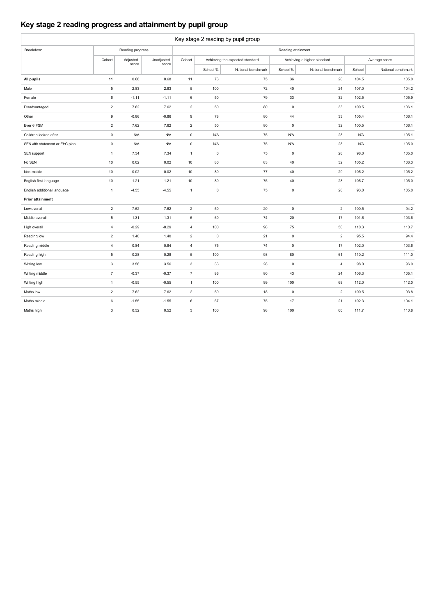## **Key stage 2 reading progress and attainment by pupil group**

| Key stage 2 reading by pupil group |                |                  |            |                     |              |                                 |                     |                             |            |                    |  |
|------------------------------------|----------------|------------------|------------|---------------------|--------------|---------------------------------|---------------------|-----------------------------|------------|--------------------|--|
| Breakdown                          |                | Reading progress |            |                     |              |                                 | Reading attainment  |                             |            |                    |  |
|                                    | Cohort         | Adjusted         | Unadjusted | Cohort              |              | Achieving the expected standard |                     | Achieving a higher standard |            | Average score      |  |
|                                    |                | score            | score      |                     | School %     | National benchmark              | School %            | National benchmark          | School     | National benchmark |  |
| All pupils                         | 11             | 0.68             | 0.68       | 11                  | 73           | 75                              | 36                  | 28                          | 104.5      | 105.0              |  |
| Male                               | $\overline{5}$ | 2.83             | 2.83       | $\,$ 5 $\,$         | 100          | 72                              | 40                  | 24                          | 107.0      | 104.2              |  |
| Female                             | 6              | $-1.11$          | $-1.11$    | 6                   | 50           | 79                              | 33                  | 32                          | 102.5      | 105.9              |  |
| Disadvantaged                      | $\overline{2}$ | 7.62             | 7.62       | $\overline{2}$      | 50           | 80                              | $\mathsf 0$         | 33                          | 100.5      | 106.1              |  |
| Other                              | $\mathsf g$    | $-0.86$          | $-0.86$    | $\mathsf g$         | 78           | 80                              | 44                  | 33                          | 105.4      | 106.1              |  |
| Ever 6 FSM                         | $\overline{2}$ | 7.62             | 7.62       | $\overline{2}$      | 50           | 80                              | $\mathbf 0$         | 32                          | 100.5      | 106.1              |  |
| Children looked after              | $\mathsf{O}$   | <b>N/A</b>       | <b>N/A</b> | $\mathsf 0$         | <b>N/A</b>   | 75                              | N/A                 | 28                          | <b>N/A</b> | 105.1              |  |
| SEN with statement or EHC plan     | $\mathsf{O}$   | <b>N/A</b>       | <b>N/A</b> | $\mathsf{O}\xspace$ | <b>N/A</b>   | 75                              | N/A                 | 28                          | <b>N/A</b> | 105.0              |  |
| SEN support                        | $\mathbf{1}$   | 7.34             | 7.34       | $\mathbf{1}$        | $\mathsf{O}$ | 75                              | $\mathsf{O}\xspace$ | 28                          | 98.0       | 105.0              |  |
| No SEN                             | 10             | 0.02             | 0.02       | 10                  | 80           | 83                              | 40                  | 32                          | 105.2      | 106.3              |  |
| Non-mobile                         | 10             | 0.02             | 0.02       | 10                  | 80           | 77                              | 40                  | 29                          | 105.2      | 105.2              |  |
| English first language             | 10             | 1.21             | 1.21       | 10                  | 80           | 75                              | 40                  | 28                          | 105.7      | 105.0              |  |
| English additional language        | $\mathbf{1}$   | $-4.55$          | $-4.55$    | $\mathbf{1}$        | $\mathsf 0$  | 75                              | $\mathsf 0$         | 28                          | 93.0       | 105.0              |  |
| <b>Prior attainment</b>            |                |                  |            |                     |              |                                 |                     |                             |            |                    |  |
| Low overall                        | $\overline{2}$ | 7.62             | 7.62       | $\overline{2}$      | 50           | 20                              | $\mathsf 0$         | $\sqrt{2}$                  | 100.5      | 94.2               |  |
| Middle overall                     | 5              | $-1.31$          | $-1.31$    | 5                   | 60           | 74                              | 20                  | 17                          | 101.6      | 103.6              |  |
| High overall                       | $\overline{4}$ | $-0.29$          | $-0.29$    | $\overline{4}$      | 100          | 98                              | 75                  | 58                          | 110.3      | 110.7              |  |
| Reading low                        | $\overline{2}$ | 1.40             | 1.40       | $\overline{2}$      | $\mathsf 0$  | 21                              | $\mathsf 0$         | $\overline{2}$              | 95.5       | 94.4               |  |
| Reading middle                     | $\overline{4}$ | 0.84             | 0.84       | $\overline{4}$      | 75           | 74                              | $\mathsf{O}\xspace$ | 17                          | 102.0      | 103.6              |  |
| Reading high                       | $\overline{5}$ | 0.28             | 0.28       | 5                   | 100          | 98                              | 80                  | 61                          | 110.2      | 111.0              |  |
| Writing low                        | $\mathbf{3}$   | 3.56             | 3.56       | $\mathbf 3$         | 33           | 28                              | $\mathsf{O}\xspace$ | $\overline{4}$              | 98.0       | 96.0               |  |
| Writing middle                     | $\overline{7}$ | $-0.37$          | $-0.37$    | $\overline{7}$      | 86           | 80                              | 43                  | 24                          | 106.3      | 105.1              |  |
| Writing high                       | $\mathbf{1}$   | $-0.55$          | $-0.55$    | $\mathbf{1}$        | 100          | 99                              | 100                 | 68                          | 112.0      | 112.0              |  |
| Maths low                          | $\overline{2}$ | 7.62             | 7.62       | $\overline{2}$      | 50           | 18                              | $\mathsf 0$         | $\overline{2}$              | 100.5      | 93.8               |  |
| Maths middle                       | $\,6\,$        | $-1.55$          | $-1.55$    | 6                   | 67           | 75                              | 17                  | 21                          | 102.3      | 104.1              |  |
| Maths high                         | $\mathbf{3}$   | 0.52             | 0.52       | $\mathbf{3}$        | 100          | 98                              | 100                 | 60                          | 111.7      | 110.8              |  |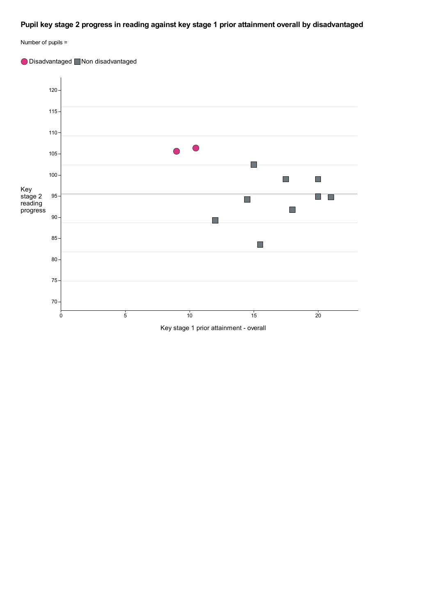### **Pupil key stage 2 progress in reading against key stage 1 prior attainment overall by disadvantaged**



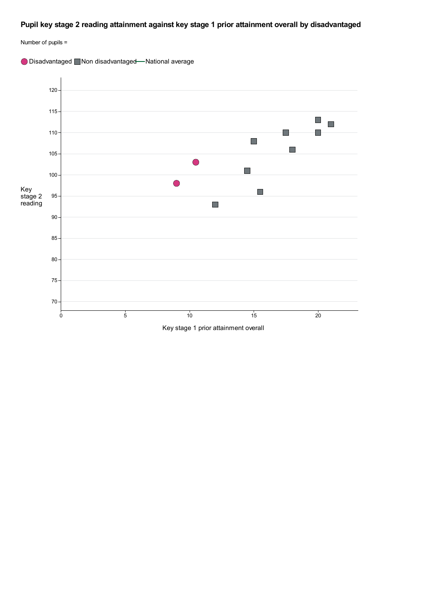### **Pupil key stage 2 reading attainment against key stage 1 prior attainment overall by disadvantaged**



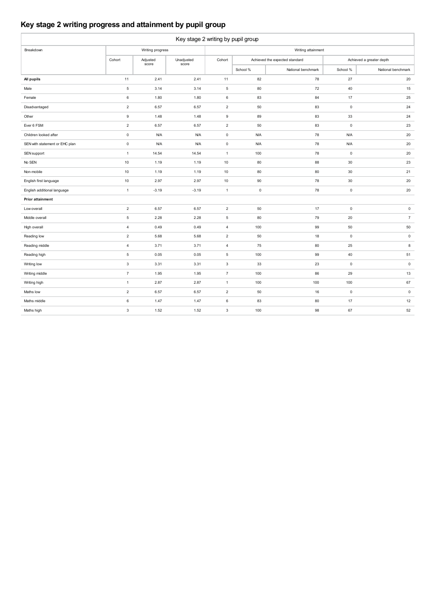### **Key stage 2 writing progress and attainment by pupil group**

| Key stage 2 writing by pupil group |                           |                   |                     |                     |                    |                                |                          |                    |  |  |  |
|------------------------------------|---------------------------|-------------------|---------------------|---------------------|--------------------|--------------------------------|--------------------------|--------------------|--|--|--|
| Breakdown                          |                           | Writing progress  |                     |                     | Writing attainment |                                |                          |                    |  |  |  |
|                                    | Cohort                    | Adjusted<br>score | Unadjusted<br>score | Cohort              |                    | Achieved the expected standard | Achieved a greater depth |                    |  |  |  |
|                                    |                           |                   |                     |                     | School %           | National benchmark             | School %                 | National benchmark |  |  |  |
| All pupils                         | 11                        | 2.41              | 2.41                | 11                  | 82                 | 78                             | 27                       | 20                 |  |  |  |
| Male                               | $\overline{5}$            | 3.14              | 3.14                | 5                   | 80                 | 72                             | 40                       | 15                 |  |  |  |
| Female                             | 6                         | 1.80              | 1.80                | 6                   | 83                 | 84                             | 17                       | 25                 |  |  |  |
| Disadvantaged                      | $\mathbf 2$               | 6.57              | 6.57                | $\overline{2}$      | 50                 | 83                             | $\mathsf 0$              | 24                 |  |  |  |
| Other                              | $\mathsf g$               | 1.48              | 1.48                | $\mathsf g$         | 89                 | 83                             | 33                       | 24                 |  |  |  |
| Ever 6 FSM                         | $\overline{2}$            | 6.57              | 6.57                | $\overline{2}$      | 50                 | 83                             | $\pmb{0}$                | 23                 |  |  |  |
| Children looked after              | $\mathsf 0$               | <b>N/A</b>        | <b>N/A</b>          | $\mathsf{O}\xspace$ | <b>N/A</b>         | 78                             | <b>N/A</b>               | 20                 |  |  |  |
| SEN with statement or EHC plan     | $\mathsf 0$               | <b>N/A</b>        | <b>N/A</b>          | $\mathbf 0$         | <b>N/A</b>         | 78                             | <b>N/A</b>               | 20                 |  |  |  |
| SEN support                        | $\mathbf{1}$              | 14.54             | 14.54               | $\mathbf{1}$        | 100                | 78                             | $\mathsf 0$              | 20                 |  |  |  |
| No SEN                             | 10                        | 1.19              | 1.19                | 10                  | 80                 | 88                             | 30                       | 23                 |  |  |  |
| Non-mobile                         | 10                        | 1.19              | 1.19                | 10                  | 80                 | 80                             | 30                       | 21                 |  |  |  |
| English first language             | 10                        | 2.97              | 2.97                | 10                  | 90                 | 78                             | 30                       | 20                 |  |  |  |
| English additional language        | $\mathbf{1}$              | $-3.19$           | $-3.19$             | $\mathbf{1}$        | $\mathsf 0$        | 78                             | $\mathsf 0$              | 20                 |  |  |  |
| <b>Prior attainment</b>            |                           |                   |                     |                     |                    |                                |                          |                    |  |  |  |
| Low overall                        | $\overline{c}$            | 6.57              | 6.57                | $\overline{2}$      | 50                 | 17                             | $\mathsf 0$              | $\mathsf{O}$       |  |  |  |
| Middle overall                     | $\,$ 5 $\,$               | 2.28              | 2.28                | 5                   | 80                 | 79                             | 20                       | $\overline{7}$     |  |  |  |
| High overall                       | 4                         | 0.49              | 0.49                | $\overline{4}$      | 100                | 99                             | 50                       | 50                 |  |  |  |
| Reading low                        | $\overline{2}$            | 5.68              | 5.68                | $\overline{2}$      | 50                 | 18                             | $\mathsf 0$              | $\mathsf{O}$       |  |  |  |
| Reading middle                     | $\overline{4}$            | 3.71              | 3.71                | $\overline{4}$      | 75                 | 80                             | 25                       | 8                  |  |  |  |
| Reading high                       | $\,$ 5 $\,$               | 0.05              | 0.05                | $\,$ 5 $\,$         | 100                | 99                             | 40                       | 51                 |  |  |  |
| Writing low                        | $\ensuremath{\mathsf{3}}$ | 3.31              | 3.31                | $\mathbf 3$         | 33                 | 23                             | $\mathsf 0$              | $\mathsf 0$        |  |  |  |
| Writing middle                     | $\overline{7}$            | 1.95              | 1.95                | $\overline{7}$      | 100                | 86                             | 29                       | 13                 |  |  |  |
| Writing high                       | $\mathbf 1$               | 2.87              | 2.87                | $\mathbf{1}$        | 100                | 100                            | 100                      | 67                 |  |  |  |
| Maths low                          | $\sqrt{2}$                | 6.57              | 6.57                | $\overline{2}$      | 50                 | 16                             | $\mathsf 0$              | $\mathsf{O}$       |  |  |  |
| Maths middle                       | 6                         | 1.47              | 1.47                | 6                   | 83                 | 80                             | 17                       | 12                 |  |  |  |
| Maths high                         | $\mathbf 3$               | 1.52              | 1.52                | 3                   | 100                | 98                             | 67                       | 52                 |  |  |  |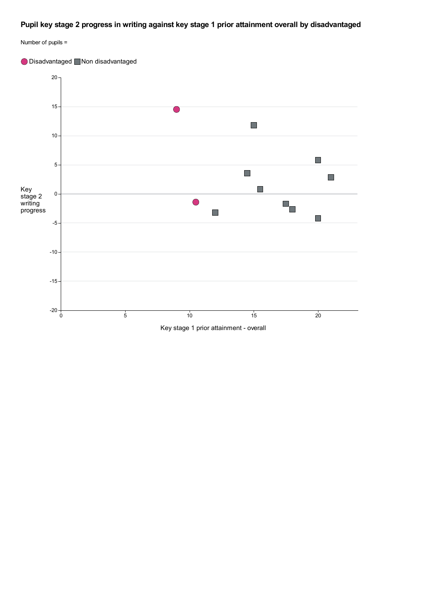### **Pupil key stage 2 progress in writing against key stage 1 prior attainment overall by disadvantaged**



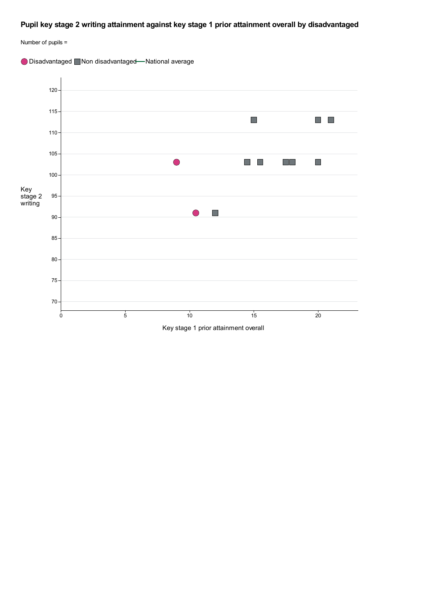### **Pupil key stage 2 writing attainment against key stage 1 prior attainment overall by disadvantaged**



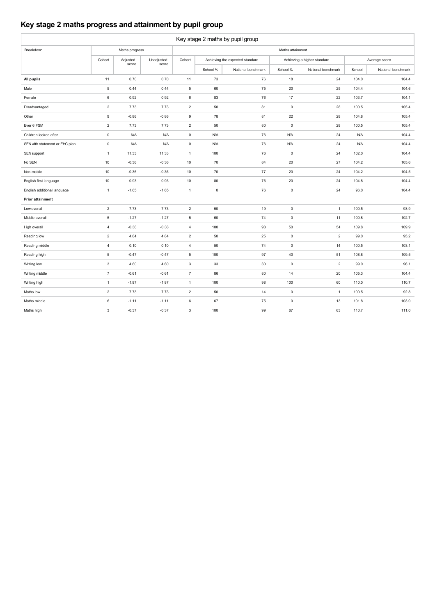### **Key stage 2 maths progress and attainment by pupil group**

| Key stage 2 maths by pupil group |                  |                   |                     |                     |             |                                 |                     |                             |            |                    |  |
|----------------------------------|------------------|-------------------|---------------------|---------------------|-------------|---------------------------------|---------------------|-----------------------------|------------|--------------------|--|
| Breakdown                        |                  | Maths progress    |                     |                     |             |                                 | Maths attainment    |                             |            |                    |  |
|                                  | Cohort           | Adjusted<br>score | Unadjusted<br>score | Cohort              |             | Achieving the expected standard |                     | Achieving a higher standard |            | Average score      |  |
|                                  |                  |                   |                     |                     | School %    | National benchmark              | School %            | National benchmark          | School     | National benchmark |  |
| All pupils                       | 11               | 0.70              | 0.70                | 11                  | 73          | 76                              | 18                  | 24                          | 104.0      | 104.4              |  |
| Male                             | $\sqrt{5}$       | 0.44              | 0.44                | 5                   | 60          | 75                              | 20                  | 25                          | 104.4      | 104.6              |  |
| Female                           | $\boldsymbol{6}$ | 0.92              | 0.92                | $\,6\,$             | 83          | 76                              | 17                  | 22                          | 103.7      | 104.1              |  |
| Disadvantaged                    | $\overline{2}$   | 7.73              | 7.73                | $\overline{2}$      | 50          | 81                              | $\mathsf 0$         | 28                          | 100.5      | 105.4              |  |
| Other                            | $\boldsymbol{9}$ | $-0.86$           | $-0.86$             | $\mathsf g$         | 78          | 81                              | 22                  | 28                          | 104.8      | 105.4              |  |
| Ever 6 FSM                       | $\overline{2}$   | 7.73              | 7.73                | $\overline{2}$      | 50          | 80                              | $\mathsf 0$         | 28                          | 100.5      | 105.4              |  |
| Children looked after            | $\pmb{0}$        | <b>N/A</b>        | <b>N/A</b>          | $\mathsf{O}\xspace$ | <b>N/A</b>  | 76                              | <b>N/A</b>          | 24                          | <b>N/A</b> | 104.4              |  |
| SEN with statement or EHC plan   | $\mathbf 0$      | <b>N/A</b>        | <b>N/A</b>          | $\mathsf{O}\xspace$ | <b>N/A</b>  | 76                              | <b>N/A</b>          | 24                          | <b>N/A</b> | 104.4              |  |
| SEN support                      | $\mathbf{1}$     | 11.33             | 11.33               | $\mathbf{1}$        | 100         | 76                              | $\mathsf 0$         | 24                          | 102.0      | 104.4              |  |
| No SEN                           | 10               | $-0.36$           | $-0.36$             | 10                  | 70          | 84                              | 20                  | 27                          | 104.2      | 105.6              |  |
| Non-mobile                       | 10               | $-0.36$           | $-0.36$             | 10                  | 70          | 77                              | 20                  | 24                          | 104.2      | 104.5              |  |
| English first language           | 10               | 0.93              | 0.93                | 10                  | 80          | 76                              | 20                  | 24                          | 104.8      | 104.4              |  |
| English additional language      | $\mathbf{1}$     | $-1.65$           | $-1.65$             | $\mathbf{1}$        | $\mathsf 0$ | 76                              | $\mathsf 0$         | 24                          | 96.0       | 104.4              |  |
| <b>Prior attainment</b>          |                  |                   |                     |                     |             |                                 |                     |                             |            |                    |  |
| Low overall                      | $\overline{2}$   | 7.73              | 7.73                | $\overline{2}$      | 50          | 19                              | $\mathsf{O}\xspace$ | $\mathbf{1}$                | 100.5      | 93.9               |  |
| Middle overall                   | 5                | $-1.27$           | $-1.27$             | 5                   | 60          | 74                              | $\mathsf{O}\xspace$ | 11                          | 100.8      | 102.7              |  |
| High overall                     | 4                | $-0.36$           | $-0.36$             | $\overline{4}$      | 100         | 98                              | 50                  | 54                          | 109.8      | 109.9              |  |
| Reading low                      | $\overline{2}$   | 4.84              | 4.84                | $\overline{2}$      | 50          | 25                              | $\mathsf 0$         | $\overline{c}$              | 99.0       | 95.2               |  |
| Reading middle                   | $\overline{4}$   | 0.10              | 0.10                | $\overline{4}$      | 50          | 74                              | $\mathsf 0$         | 14                          | 100.5      | 103.1              |  |
| Reading high                     | $\sqrt{5}$       | $-0.47$           | $-0.47$             | 5                   | 100         | 97                              | 40                  | 51                          | 108.8      | 109.5              |  |
| Writing low                      | $\mathsf 3$      | 4.60              | 4.60                | $\mathbf{3}$        | 33          | 30                              | $\mathsf 0$         | $\overline{2}$              | 99.0       | 96.1               |  |
| Writing middle                   | $\overline{7}$   | $-0.61$           | $-0.61$             | $\overline{7}$      | 86          | 80                              | 14                  | 20                          | 105.3      | 104.4              |  |
| Writing high                     | $\mathbf{1}$     | $-1.87$           | $-1.87$             | $\mathbf{1}$        | 100         | 98                              | 100                 | 60                          | 110.0      | 110.7              |  |
| Maths low                        | $\sqrt{2}$       | 7.73              | 7.73                | $\overline{2}$      | 50          | 14                              | $\mathsf 0$         | $\mathbf{1}$                | 100.5      | 92.8               |  |
| Maths middle                     | 6                | $-1.11$           | $-1.11$             | $\,6$               | 67          | 75                              | $\mathsf{O}\xspace$ | 13                          | 101.8      | 103.0              |  |
| Maths high                       | $\mathbf{3}$     | $-0.37$           | $-0.37$             | 3                   | 100         | 99                              | 67                  | 63                          | 110.7      | 111.0              |  |
|                                  |                  |                   |                     |                     |             |                                 |                     |                             |            |                    |  |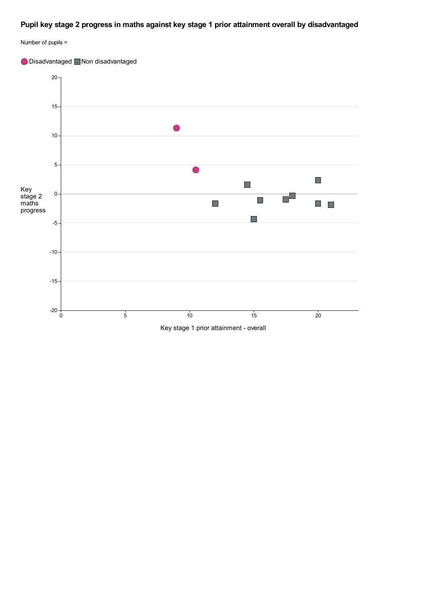### **Pupil key stage 2 progress in maths against key stage 1 prior attainment overall by disadvantaged**



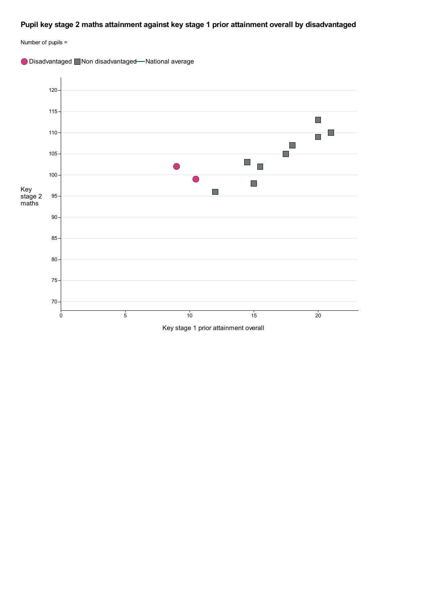### **Pupil key stage 2 maths attainment against key stage 1 prior attainment overall by disadvantaged**





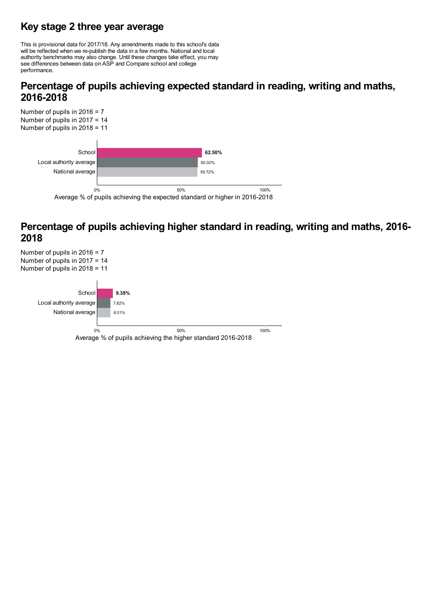# **Key stage 2 three year average**

This is provisional data for 2017/18. Any amendments made to this school's data will be reflected when we re-publish the data in <sup>a</sup> few months. National and local authority benchmarks may also change. Until these changes take effect, you may see differences between data on ASP and Compare school and college performance.

# **Percentage of pupils achieving expected standard in reading, writing and maths, 2016-2018**



# **Percentage of pupils achieving higher standard in reading, writing and maths, 2016- <sup>2018</sup>**

Number of pupils in 2016 = 7 Number of pupils in 2017 = 14 Number of pupils in 2018 = 11 **9.38%** 7.82% 8.01% School Local authority average National average Average % of pupils achieving the higher standard 2016-2018 0% 50% 100%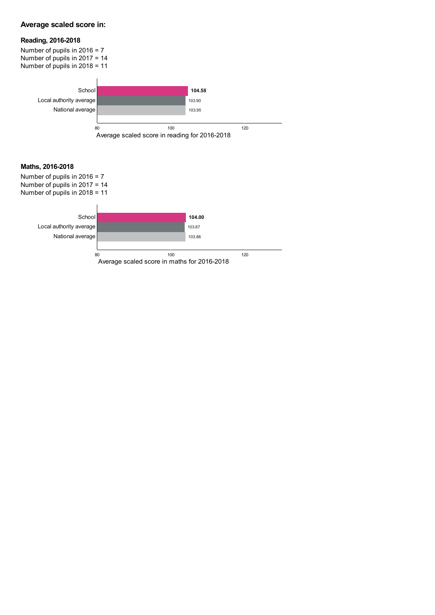### **Average scaled score in:**

### **Reading, 2016-2018**

Number of pupils in 2016 = 7 Number of pupils in 2017 = 14 Number of pupils in 2018 = 11 **Maths, 2016-2018** Number of pupils in 2016 = 7 Number of pupils in 2017 = 14 Number of pupils in 2018 = 11 **104.58** 103.90 103.95 School Local authority average National average Average scaled score in reading for 2016-2018 80 100 120 **104.00** 103.67 103.88 School Local authority average National average Average scaled score in maths for 2016-2018 80 120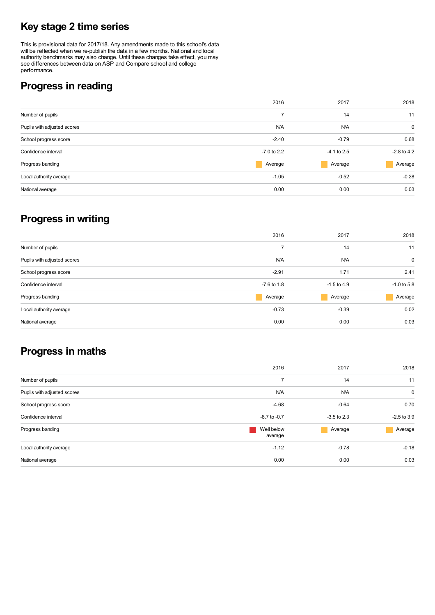# **Key stage 2 time series**

This is provisional data for 2017/18. Any amendments made to this school's data will be reflected when we re-publish the data in a few months. National and local authority benchmarks may also change. Until these changes take effect, you may see differences between data on ASP and Compare school and college performance.

# **Progress in reading**

|                             | 2016          | 2017          | 2018          |
|-----------------------------|---------------|---------------|---------------|
| Number of pupils            | ⇁             | 14            | 11            |
| Pupils with adjusted scores | N/A           | N/A           | $\mathbf 0$   |
| School progress score       | $-2.40$       | $-0.79$       | 0.68          |
| Confidence interval         | $-7.0$ to 2.2 | $-4.1$ to 2.5 | $-2.8$ to 4.2 |
| Progress banding            | Average       | Average       | Average       |
| Local authority average     | $-1.05$       | $-0.52$       | $-0.28$       |
| National average            | 0.00          | 0.00          | 0.03          |
|                             |               |               |               |

# **Progress in writing**

|                             | 2016          | 2017          | 2018          |
|-----------------------------|---------------|---------------|---------------|
| Number of pupils            | 7             | 14            | 11            |
| Pupils with adjusted scores | N/A           | N/A           | 0             |
| School progress score       | $-2.91$       | 1.71          | 2.41          |
| Confidence interval         | $-7.6$ to 1.8 | $-1.5$ to 4.9 | $-1.0$ to 5.8 |
| Progress banding            | Average       | Average       | Average       |
| Local authority average     | $-0.73$       | $-0.39$       | 0.02          |
| National average            | 0.00          | 0.00          | 0.03          |

# **Progress in maths**

| 2016                  | 2017          | 2018          |
|-----------------------|---------------|---------------|
| 7                     | 14            | 11            |
| N/A                   | N/A           | 0             |
| $-4.68$               | $-0.64$       | 0.70          |
| $-8.7$ to $-0.7$      | $-3.5$ to 2.3 | $-2.5$ to 3.9 |
| Well below<br>average | Average       | Average       |
| $-1.12$               | $-0.78$       | $-0.18$       |
| 0.00                  | 0.00          | 0.03          |
|                       |               |               |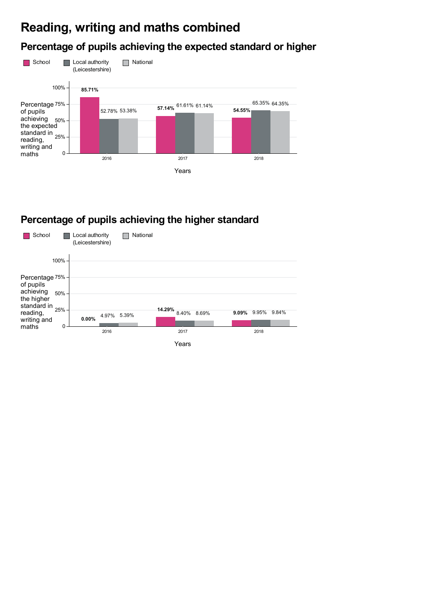# **Reading, writing and maths combined**

# **Percentage of pupils achieving the expected standard or higher**



# **Percentage of pupils achieving the higher standard**

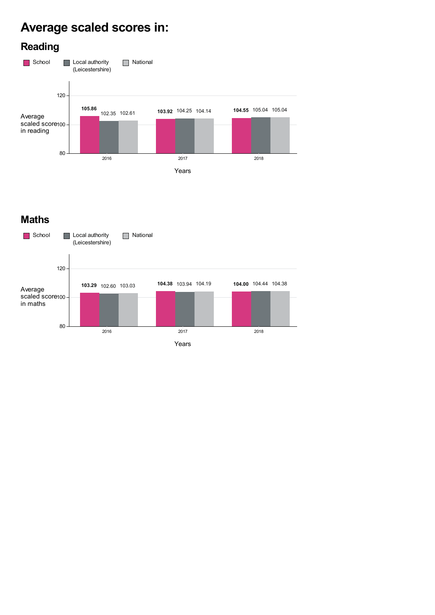# **Average scaled scores in:**



# **Maths**

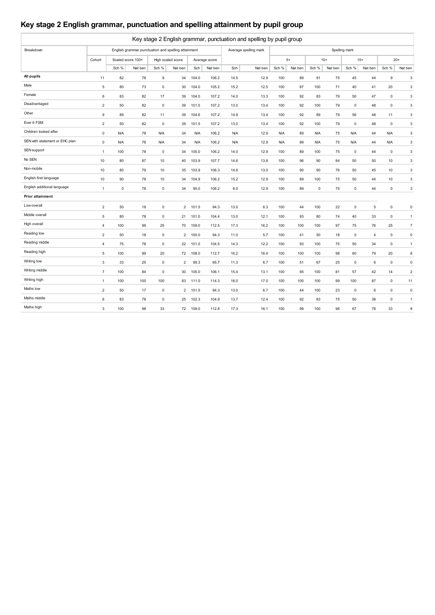## **Key stage 2 English grammar, punctuation and spelling attainment by pupil group**

| Key stage 2 English grammar, punctuation and spelling by pupil group |                |                   |         |                                                     |                |            |               |            |                       |            |         |            |         |               |         |             |                           |
|----------------------------------------------------------------------|----------------|-------------------|---------|-----------------------------------------------------|----------------|------------|---------------|------------|-----------------------|------------|---------|------------|---------|---------------|---------|-------------|---------------------------|
| Breakdown                                                            |                |                   |         | English grammar punctuation and spelling attainment |                |            |               |            | Average spelling mark |            |         |            |         | Spelling mark |         |             |                           |
|                                                                      | Cohort         | Scaled score 100+ |         | High scaled score                                   |                |            | Average score |            |                       |            | $5+$    |            | $10+$   |               | $15+$   |             | $20+$                     |
|                                                                      |                | Sch %             | Nat ben | Sch %                                               | Nat ben        | Sch        | Nat ben       | Sch        | Nat ben               | Sch %      | Nat ben | Sch %      | Nat ben | Sch %         | Nat ben | Sch %       | Nat ben                   |
| All pupils                                                           | 11             | 82                | 78      | 9                                                   | 34             | 104.0      | 106.2         | 14.5       | 12.9                  | 100        | 89      | 91         | 75      | 45            | 44      | 9           | $\ensuremath{\mathsf{3}}$ |
| Male                                                                 | 5              | 80                | 73      | $\mathbf 0$                                         | 30             | 104.0      | 105.2         | 15.2       | 12.5                  | 100        | 87      | 100        | 71      | 40            | 41      | 20          | 3                         |
| Female                                                               | 6              | 83                | 82      | 17                                                  | 39             | 104.0      | 107.2         | 14.0       | 13.3                  | 100        | 92      | 83         | 79      | 50            | 47      | $\mathsf 0$ | $\ensuremath{\mathsf{3}}$ |
| Disadvantaged                                                        | $\overline{2}$ | 50                | 82      | $\mathsf 0$                                         | 39             | 101.5      | 107.2         | 13.0       | 13.4                  | 100        | 92      | 100        | 79      | $\mathbf 0$   | 48      | $\pmb{0}$   | 3                         |
| Other                                                                | 9              | 89                | 82      | 11                                                  | 39             | 104.6      | 107.2         | 14.9       | 13.4                  | 100        | 92      | 89         | 79      | 56            | 48      | 11          | 3                         |
| Ever 6 FSM                                                           | $\overline{2}$ | 50                | 82      | $\mathsf 0$                                         | 39             | 101.5      | 107.2         | 13.0       | 13.4                  | 100        | 92      | 100        | 79      | 0             | 48      | $\mathbf 0$ | $\ensuremath{\mathsf{3}}$ |
| Children looked after                                                | $\mathbf 0$    | <b>N/A</b>        | 78      | <b>N/A</b>                                          | 34             | <b>N/A</b> | 106.2         | <b>N/A</b> | 12.9                  | <b>N/A</b> | 89      | <b>N/A</b> | 75      | <b>N/A</b>    | 44      | <b>N/A</b>  | 3                         |
| SEN with statement or EHC plan                                       | $\mathbf 0$    | <b>N/A</b>        | 78      | <b>N/A</b>                                          | 34             | <b>N/A</b> | 106.2         | <b>N/A</b> | 12.9                  | <b>N/A</b> | 89      | N/A        | 75      | <b>N/A</b>    | 44      | <b>N/A</b>  | $\ensuremath{\mathsf{3}}$ |
| SEN support                                                          | $\mathbf{1}$   | 100               | 78      | $\mathsf 0$                                         | 34             | 105.0      | 106.2         | 14.0       | 12.9                  | 100        | 89      | 100        | 75      | $\mathbf 0$   | 44      | $\mathsf 0$ | $\mathbf{3}$              |
| No SEN                                                               | 10             | 80                | 87      | 10                                                  | 40             | 103.9      | 107.7         | 14.6       | 13.8                  | 100        | 96      | 90         | 84      | 50            | 50      | 10          | 3                         |
| Non-mobile                                                           | 10             | 80                | 79      | 10                                                  | 35             | 103.9      | 106.3         | 14.6       | 13.0                  | 100        | 90      | 90         | 76      | 50            | 45      | 10          | 3                         |
| English first language                                               | 10             | 90                | 78      | 10                                                  | 34             | 104.9      | 106.2         | 15.2       | 12.9                  | 100        | 89      | 100        | 75      | 50            | 44      | 10          | 3                         |
| English additional language                                          | $\mathbf{1}$   | $\mathbf 0$       | 78      | $\mathsf 0$                                         | 34             | 95.0       | 106.2         | 8.0        | 12.9                  | 100        | 89      | 0          | 75      | 0             | 44      | $\mathbf 0$ | $\mathbf{3}$              |
| <b>Prior attainment</b>                                              |                |                   |         |                                                     |                |            |               |            |                       |            |         |            |         |               |         |             |                           |
| Low overall                                                          | $\overline{2}$ | 50                | 18      | $\mathbf 0$                                         | $\overline{2}$ | 101.5      | 94.3          | 13.0       | 6.3                   | 100        | 44      | 100        | 22      | $\mathbf 0$   | 5       | $\mathsf 0$ | $\mathbf 0$               |
| Middle overall                                                       | 5              | 80                | 78      | $\mathsf 0$                                         | 21             | 101.0      | 104.4         | 13.0       | 12.1                  | 100        | 93      | 80         | 74      | 40            | 33      | $\pmb{0}$   | $\mathbf{1}$              |
| High overall                                                         | $\overline{4}$ | 100               | 99      | 25                                                  | 70             | 109.0      | 112.5         | 17.3       | 16.2                  | 100        | 100     | 100        | 97      | 75            | 76      | 25          | $\overline{7}$            |
| Reading low                                                          | $\overline{2}$ | 50                | 18      | $\mathsf 0$                                         | 2              | 100.0      | 94.3          | 11.0       | 5.7                   | 100        | 41      | 50         | 18      | 0             | 4       | $\mathsf 0$ | $\mathsf 0$               |
| Reading middle                                                       | $\overline{4}$ | 75                | 78      | $\mathbf 0$                                         | 22             | 101.0      | 104.5         | 14.3       | 12.2                  | 100        | 93      | 100        | 75      | 50            | 34      | $\mathbf 0$ | $\mathbf{1}$              |
| Reading high                                                         | 5              | 100               | 99      | 20                                                  | 72             | 108.0      | 112.7         | 16.2       | 16.4                  | 100        | 100     | 100        | 98      | 60            | 79      | 20          | 8                         |
| Writing low                                                          | 3              | 33                | 25      | $\mathbf 0$                                         | $\overline{2}$ | 99.3       | 95.7          | 11.3       | 6.7                   | 100        | 51      | 67         | 25      | 0             | 6       | $\mathsf 0$ | $\mathsf{O}\xspace$       |
| Writing middle                                                       | $\overline{7}$ | 100               | 84      | $\mathbf 0$                                         | 30             | 105.0      | 106.1         | 15.4       | 13.1                  | 100        | 95      | 100        | 81      | 57            | 42      | 14          | $\overline{2}$            |
| Writing high                                                         | $\mathbf{1}$   | 100               | 100     | 100                                                 | 83             | 111.0      | 114.3         | 18.0       | 17.0                  | 100        | 100     | 100        | 99      | 100           | 87      | $\mathsf 0$ | 11                        |
| Maths low                                                            | $\overline{2}$ | 50                | 17      | $\mathsf 0$                                         | $\overline{2}$ | 101.5      | 94.3          | 13.0       | 6.7                   | 100        | 44      | 100        | 23      | 0             | 6       | $\mathsf 0$ | $\mathsf 0$               |
| Maths middle                                                         | 6              | 83                | 78      | $\mathbf 0$                                         | 25             | 102.3      | 104.9         | 13.7       | 12.4                  | 100        | 92      | 83         | 75      | 50            | 38      | $\mathbf 0$ | $\mathbf{1}$              |
| Maths high                                                           | $\mathbf 3$    | 100               | 98      | 33                                                  | 72             | 109.0      | 112.8         | 17.3       | 16.1                  | 100        | 99      | 100        | 96      | 67            | 76      | 33          | 8                         |
|                                                                      |                |                   |         |                                                     |                |            |               |            |                       |            |         |            |         |               |         |             |                           |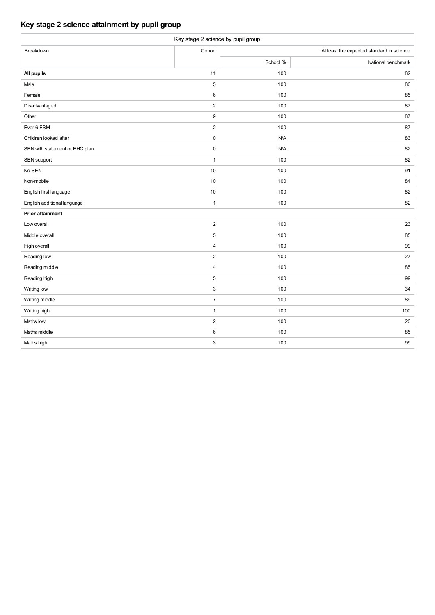### **Key stage 2 science attainment by pupil group**

| Key stage 2 science by pupil group |                           |          |                                           |  |  |  |  |  |  |  |  |
|------------------------------------|---------------------------|----------|-------------------------------------------|--|--|--|--|--|--|--|--|
| Breakdown                          | Cohort                    |          | At least the expected standard in science |  |  |  |  |  |  |  |  |
|                                    |                           | School % | National benchmark                        |  |  |  |  |  |  |  |  |
| All pupils                         | 11                        | 100      | 82                                        |  |  |  |  |  |  |  |  |
| Male                               | $\sqrt{5}$                | 100      | 80                                        |  |  |  |  |  |  |  |  |
| Female                             | $\,6\,$                   | 100      | 85                                        |  |  |  |  |  |  |  |  |
| Disadvantaged                      | $\overline{2}$            | 100      | 87                                        |  |  |  |  |  |  |  |  |
| Other                              | $\boldsymbol{9}$          | 100      | 87                                        |  |  |  |  |  |  |  |  |
| Ever 6 FSM                         | $\overline{2}$            | 100      | 87                                        |  |  |  |  |  |  |  |  |
| Children looked after              | $\pmb{0}$                 | N/A      | 83                                        |  |  |  |  |  |  |  |  |
| SEN with statement or EHC plan     | $\pmb{0}$                 | N/A      | 82                                        |  |  |  |  |  |  |  |  |
| SEN support                        | $\mathbf{1}$              | 100      | 82                                        |  |  |  |  |  |  |  |  |
| No SEN                             | 10                        | 100      | 91                                        |  |  |  |  |  |  |  |  |
| Non-mobile                         | 10                        | 100      | 84                                        |  |  |  |  |  |  |  |  |
| English first language             | $10$                      | 100      | 82                                        |  |  |  |  |  |  |  |  |
| English additional language        | $\mathbf{1}$              | 100      | 82                                        |  |  |  |  |  |  |  |  |
| <b>Prior attainment</b>            |                           |          |                                           |  |  |  |  |  |  |  |  |
| Low overall                        | $\overline{2}$            | 100      | 23                                        |  |  |  |  |  |  |  |  |
| Middle overall                     | $\sqrt{5}$                | 100      | 85                                        |  |  |  |  |  |  |  |  |
| High overall                       | $\sqrt{4}$                | 100      | 99                                        |  |  |  |  |  |  |  |  |
| Reading low                        | $\overline{2}$            | 100      | 27                                        |  |  |  |  |  |  |  |  |
| Reading middle                     | $\overline{4}$            | 100      | 85                                        |  |  |  |  |  |  |  |  |
| Reading high                       | $\,$ 5 $\,$               | 100      | 99                                        |  |  |  |  |  |  |  |  |
| Writing low                        | $\ensuremath{\mathsf{3}}$ | 100      | 34                                        |  |  |  |  |  |  |  |  |
| Writing middle                     | $\overline{7}$            | 100      | 89                                        |  |  |  |  |  |  |  |  |
| Writing high                       | $\mathbf{1}$              | 100      | 100                                       |  |  |  |  |  |  |  |  |
| Maths low                          | $\sqrt{2}$                | 100      | 20                                        |  |  |  |  |  |  |  |  |
| Maths middle                       | $\,6$                     | 100      | 85                                        |  |  |  |  |  |  |  |  |
| Maths high                         | $\ensuremath{\mathsf{3}}$ | 100      | 99                                        |  |  |  |  |  |  |  |  |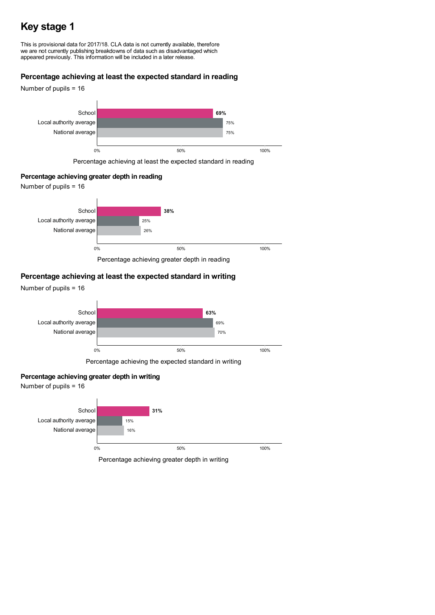# **Key stage 1**

This is provisional data for 2017/18. CLA data is not currently available, therefore we are not currently publishing breakdowns of data such as disadvantaged which appeared previously. This information will be included in a later release.

### **Percentage achieving at least the expected standard in reading**



Percentage achieving at least the expected standard in reading

### **Percentage achieving greater depth in reading**

Number of pupils = 16



Percentage achieving greater depth in reading

### **Percentage achieving at least the expected standard in writing**



### **Percentage achieving greater depth in writing**

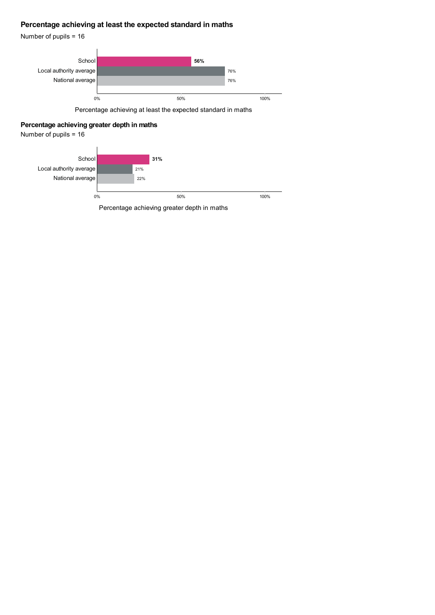### **Percentage achieving at least the expected standard in maths**

Number of pupils = 16



Percentage achieving at least the expected standard in maths

### **Percentage achieving greater depth in maths**

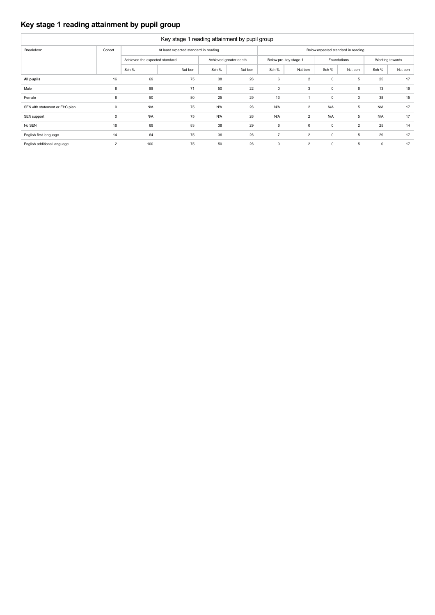### **Key stage 1 reading attainment by pupil group**

| Key stage 1 reading attainment by pupil group |                |                                |                                       |            |                        |                |                       |             |                                    |             |                 |  |
|-----------------------------------------------|----------------|--------------------------------|---------------------------------------|------------|------------------------|----------------|-----------------------|-------------|------------------------------------|-------------|-----------------|--|
| Breakdown                                     | Cohort         |                                | At least expected standard in reading |            |                        |                |                       |             | Below expected standard in reading |             |                 |  |
|                                               |                | Achieved the expected standard |                                       |            | Achieved greater depth |                | Below pre-key stage 1 |             | Foundations                        |             | Working towards |  |
|                                               |                | Sch %                          | Nat ben                               | Sch %      | Nat ben                | Sch %          | Nat ben               | Sch %       | Nat ben                            | Sch %       | Nat ben         |  |
| All pupils                                    | 16             | 69                             | 75                                    | 38         | 26                     | 6              | $\overline{2}$        | $\mathbf 0$ | 5                                  | 25          | 17              |  |
| Male                                          | 8              | 88                             | 71                                    | 50         | 22                     | 0              | 3                     | $\mathbf 0$ | 6                                  | 13          | 19              |  |
| Female                                        | 8              | 50                             | 80                                    | 25         | 29                     | 13             |                       | $\mathbf 0$ | 3                                  | 38          | 15              |  |
| SEN with statement or EHC plan                | $\mathbf 0$    | <b>N/A</b>                     | 75                                    | <b>N/A</b> | 26                     | <b>N/A</b>     | $\overline{2}$        | <b>N/A</b>  | 5                                  | <b>N/A</b>  | 17              |  |
| SEN support                                   | 0              | <b>N/A</b>                     | 75                                    | <b>N/A</b> | 26                     | <b>N/A</b>     | $\overline{2}$        | <b>N/A</b>  | 5                                  | <b>N/A</b>  | 17              |  |
| No SEN                                        | 16             | 69                             | 83                                    | 38         | 29                     | 6              | $\mathbf 0$           | $\mathbf 0$ | $\overline{2}$                     | 25          | 14              |  |
| English first language                        | 14             | 64                             | 75                                    | 36         | 26                     | $\overline{7}$ | 2                     | $\mathbf 0$ | 5                                  | 29          | 17              |  |
| English additional language                   | $\overline{2}$ | 100                            | 75                                    | 50         | 26                     | $\mathbf 0$    | $\overline{2}$        | $\mathbf 0$ | 5                                  | $\mathbf 0$ | 17              |  |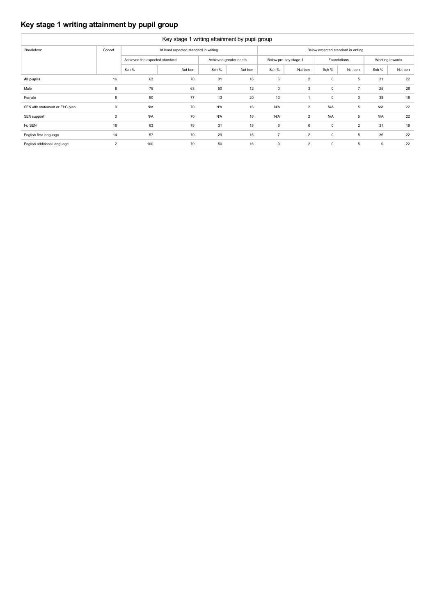### **Key stage 1 writing attainment by pupil group**

| Key stage 1 writing attainment by pupil group |                |                                |                                       |            |                        |                       |                |             |                                    |                 |         |  |  |
|-----------------------------------------------|----------------|--------------------------------|---------------------------------------|------------|------------------------|-----------------------|----------------|-------------|------------------------------------|-----------------|---------|--|--|
| Breakdown                                     | Cohort         |                                | At least expected standard in writing |            |                        |                       |                |             | Below expected standard in writing |                 |         |  |  |
|                                               |                | Achieved the expected standard |                                       |            | Achieved greater depth | Below pre-key stage 1 |                | Foundations |                                    | Working towards |         |  |  |
|                                               |                | Sch %                          | Nat ben                               | Sch %      | Nat ben                | Sch %                 | Nat ben        | Sch %       | Nat ben                            | Sch %           | Nat ben |  |  |
| All pupils                                    | 16             | 63                             | 70                                    | 31         | 16                     | 6                     | $\overline{2}$ | $\mathbf 0$ | 5                                  | 31              | 22      |  |  |
| Male                                          | 8              | 75                             | 63                                    | 50         | 12                     | $\mathbf 0$           | 3              | $\mathbf 0$ | $\overline{7}$                     | 25              | 26      |  |  |
| Female                                        | 8              | 50                             | 77                                    | 13         | 20                     | 13                    |                | $\mathbf 0$ | 3                                  | 38              | 18      |  |  |
| SEN with statement or EHC plan                | $\mathbf 0$    | <b>N/A</b>                     | 70                                    | <b>N/A</b> | 16                     | <b>N/A</b>            | $\overline{2}$ | <b>N/A</b>  | 5                                  | <b>N/A</b>      | 22      |  |  |
| SEN support                                   | $\mathbf 0$    | <b>N/A</b>                     | 70                                    | <b>N/A</b> | 16                     | <b>N/A</b>            | $\overline{2}$ | <b>N/A</b>  | 5                                  | <b>N/A</b>      | 22      |  |  |
| No SEN                                        | 16             | 63                             | 78                                    | 31         | 18                     | 6                     | $\mathbf 0$    | $\mathbf 0$ | $\overline{2}$                     | 31              | 19      |  |  |
| English first language                        | 14             | 57                             | 70                                    | 29         | 16                     | $\overline{7}$        | $\overline{2}$ | $\mathbf 0$ | 5                                  | 36              | 22      |  |  |
| English additional language                   | $\overline{2}$ | 100                            | 70                                    | 50         | 16                     | $\mathbf 0$           | $\overline{2}$ | $\mathbf 0$ | 5                                  | $\mathbf 0$     | 22      |  |  |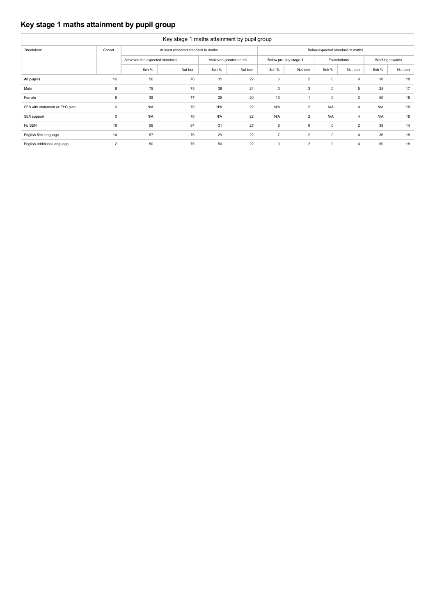### **Key stage 1 maths attainment by pupil group**

| Key stage 1 maths attainment by pupil group |                |                                |                                     |            |                        |                |                       |             |                                  |            |                 |  |  |
|---------------------------------------------|----------------|--------------------------------|-------------------------------------|------------|------------------------|----------------|-----------------------|-------------|----------------------------------|------------|-----------------|--|--|
| Breakdown                                   | Cohort         |                                | At least expected standard in maths |            |                        |                |                       |             | Below expected standard in maths |            |                 |  |  |
|                                             |                | Achieved the expected standard |                                     |            | Achieved greater depth |                | Below pre-key stage 1 |             | Foundations                      |            | Working towards |  |  |
|                                             |                | Sch %                          | Nat ben                             | Sch %      | Nat ben                | Sch %          | Nat ben               | Sch %       | Nat ben                          | Sch %      | Nat ben         |  |  |
| All pupils                                  | 16             | 56                             | 76                                  | 31         | 22                     | 6              | $\overline{2}$        | $\mathbf 0$ | $\overline{4}$                   | 38         | 18              |  |  |
| Male                                        | 8              | 75                             | 75                                  | 38         | 24                     | $\mathbf 0$    | 3                     | $\mathbf 0$ | 5                                | 25         | 17              |  |  |
| Female                                      | 8              | 38                             | 77                                  | 25         | 20                     | 13             |                       | $\mathbf 0$ | 3                                | 50         | 18              |  |  |
| SEN with statement or EHC plan              | $\mathbf 0$    | <b>N/A</b>                     | 76                                  | <b>N/A</b> | 22                     | <b>N/A</b>     | $\overline{2}$        | <b>N/A</b>  | $\overline{4}$                   | <b>N/A</b> | 18              |  |  |
| SEN support                                 | $\mathbf 0$    | <b>N/A</b>                     | 76                                  | <b>N/A</b> | 22                     | <b>N/A</b>     | $\overline{2}$        | <b>N/A</b>  | $\overline{4}$                   | <b>N/A</b> | 18              |  |  |
| No SEN                                      | 16             | 56                             | 84                                  | 31         | 25                     | 6              | $\mathbf 0$           | $\mathbf 0$ | $\overline{2}$                   | 38         | 14              |  |  |
| English first language                      | 14             | 57                             | 76                                  | 29         | 22                     | $\overline{7}$ | $\overline{2}$        | $\mathbf 0$ | $\overline{4}$                   | 36         | 18              |  |  |
| English additional language                 | $\overline{2}$ | 50                             | 76                                  | 50         | 22                     | $\mathbf 0$    | $\overline{2}$        | $\mathbf 0$ | $\overline{4}$                   | 50         | 18              |  |  |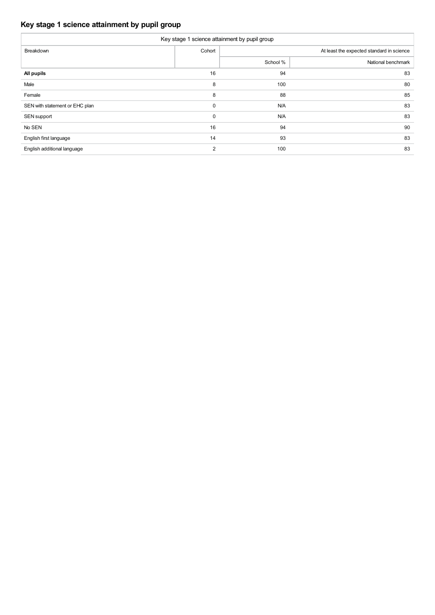### **Key stage 1 science attainment by pupil group**

| Key stage 1 science attainment by pupil group |                |          |                                           |  |  |  |  |  |  |  |  |
|-----------------------------------------------|----------------|----------|-------------------------------------------|--|--|--|--|--|--|--|--|
| Breakdown                                     | Cohort         |          | At least the expected standard in science |  |  |  |  |  |  |  |  |
|                                               |                | School % | National benchmark                        |  |  |  |  |  |  |  |  |
| All pupils                                    | 16             | 94       | 83                                        |  |  |  |  |  |  |  |  |
| Male                                          | 8              | 100      | 80                                        |  |  |  |  |  |  |  |  |
| Female                                        | 8              | 88       | 85                                        |  |  |  |  |  |  |  |  |
| SEN with statement or EHC plan                | 0              | N/A      | 83                                        |  |  |  |  |  |  |  |  |
| SEN support                                   | $\mathbf 0$    | N/A      | 83                                        |  |  |  |  |  |  |  |  |
| No SEN                                        | 16             | 94       | 90                                        |  |  |  |  |  |  |  |  |
| English first language                        | 14             | 93       | 83                                        |  |  |  |  |  |  |  |  |
| English additional language                   | $\overline{2}$ | 100      | 83                                        |  |  |  |  |  |  |  |  |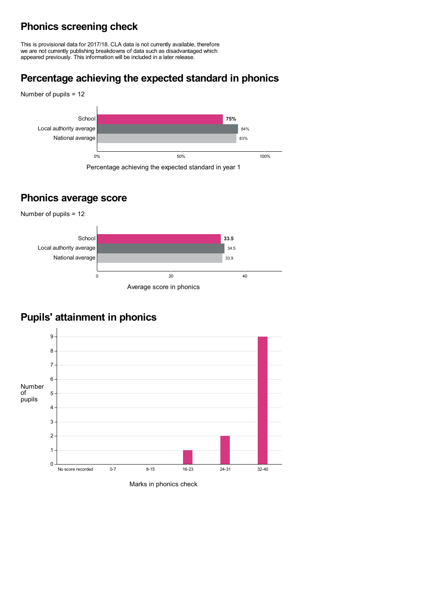# **Phonics screening check**

This is provisional data for 2017/18. CLA data is not currently available, therefore we are not currently publishing breakdowns of data such as disadvantaged which appeared previously. This information will be included in a later release.

# **Percentage achieving the expected standard in phonics**



### **Phonics average score**



# **Pupils' attainment in phonics**



Marks in phonics check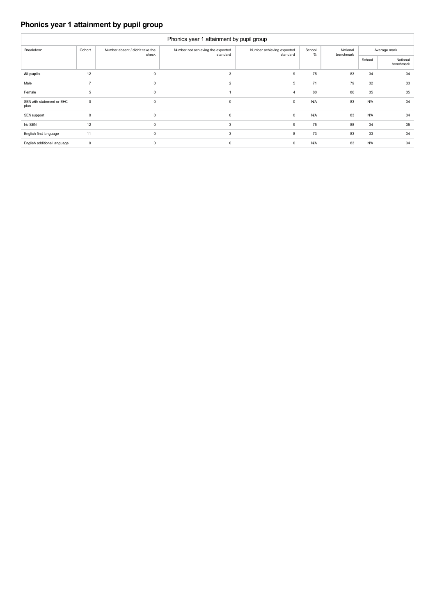### **Phonics year 1 attainment by pupil group**

| Phonics year 1 attainment by pupil group |                |                                          |                                               |                                       |             |                       |            |                       |  |  |  |  |
|------------------------------------------|----------------|------------------------------------------|-----------------------------------------------|---------------------------------------|-------------|-----------------------|------------|-----------------------|--|--|--|--|
| Breakdown                                | Cohort         | Number absent / didn't take the<br>check | Number not achieving the expected<br>standard | Number achieving expected<br>standard | School<br>% | National<br>benchmark |            | Average mark          |  |  |  |  |
|                                          |                |                                          |                                               |                                       |             |                       | School     | National<br>benchmark |  |  |  |  |
| All pupils                               | 12             | $\mathbf 0$                              | 3                                             | 9                                     | 75          | 83                    | 34         | 34                    |  |  |  |  |
| Male                                     | $\overline{7}$ | $\mathbf 0$                              | 2                                             | 5                                     | 71          | 79                    | 32         | 33                    |  |  |  |  |
| Female                                   | 5              | $\mathbf 0$                              |                                               | 4                                     | 80          | 86                    | 35         | 35                    |  |  |  |  |
| SEN with statement or EHC<br>plan        | $\mathbf 0$    | $\mathbf 0$                              | $\mathbf 0$                                   | 0                                     | <b>N/A</b>  | 83                    | <b>N/A</b> | 34                    |  |  |  |  |
| SEN support                              | $\mathbf 0$    | $\mathsf 0$                              | $\mathbf 0$                                   | 0                                     | <b>N/A</b>  | 83                    | <b>N/A</b> | 34                    |  |  |  |  |
| No SEN                                   | 12             | $\mathsf 0$                              | 3                                             | 9                                     | 75          | 88                    | 34         | 35                    |  |  |  |  |
| English first language                   | 11             | $\mathbf 0$                              | 3                                             | 8                                     | 73          | 83                    | 33         | 34                    |  |  |  |  |
| English additional language              | $\pmb{0}$      | $\mathbf 0$                              | $\mathbf 0$                                   | 0                                     | <b>N/A</b>  | 83                    | <b>N/A</b> | 34                    |  |  |  |  |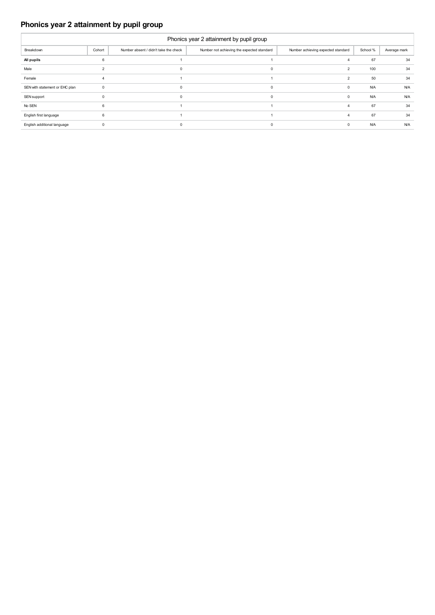### **Phonics year 2 attainment by pupil group**

| Phonics year 2 attainment by pupil group |              |                                       |                                            |                                    |            |              |  |  |  |  |  |
|------------------------------------------|--------------|---------------------------------------|--------------------------------------------|------------------------------------|------------|--------------|--|--|--|--|--|
| Breakdown                                | Cohort       | Number absent / didn't take the check | Number not achieving the expected standard | Number achieving expected standard | School %   | Average mark |  |  |  |  |  |
| All pupils                               | 6            |                                       |                                            | 4                                  | 67         | 34           |  |  |  |  |  |
| Male                                     |              | $\mathbf 0$                           | $\Omega$                                   | $\overline{2}$                     | 100        | 34           |  |  |  |  |  |
| Female                                   |              |                                       |                                            | $\overline{2}$                     | 50         | 34           |  |  |  |  |  |
| SEN with statement or EHC plan           | $\Omega$     | 0                                     | $\Omega$                                   | 0                                  | <b>N/A</b> | <b>N/A</b>   |  |  |  |  |  |
| SEN support                              | $\Omega$     | $\mathbf 0$                           | $\Omega$                                   | $\mathbf 0$                        | <b>N/A</b> | <b>N/A</b>   |  |  |  |  |  |
| No SEN                                   | $\mathbf{6}$ |                                       |                                            | $\overline{4}$                     | 67         | 34           |  |  |  |  |  |
| English first language                   | 6            |                                       |                                            | $\overline{4}$                     | 67         | 34           |  |  |  |  |  |
| English additional language              | $\Omega$     | 0                                     |                                            | $^{\circ}$                         | <b>N/A</b> | <b>N/A</b>   |  |  |  |  |  |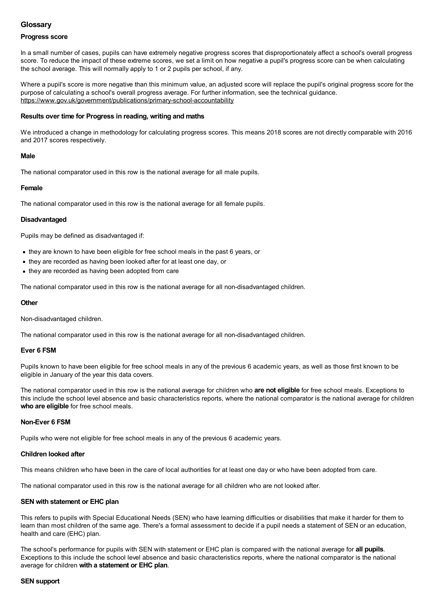### **Glossary**

### **Progress score**

In a small number of cases, pupils can have extremely negative progress scores that disproportionately affect a school's overall progress score. To reduce the impact of these extreme scores, we set a limit on how negative a pupil's progress score can be when calculating the school average. This will normally apply to 1 or 2 pupils per school, if any.

Where a pupil's score is more negative than this minimum value, an adjusted score will replace the pupil's original progress score for the purpose of calculating a school's overall progress average. For further information, see the technical guidance. <https://www.gov.uk/government/publications/primary-school-accountability>

### **Results over time for Progress in reading, writing and maths**

We introduced a change in methodology for calculating progress scores. This means 2018 scores are not directly comparable with 2016 and 2017 scores respectively.

### **Male**

The national comparator used in this row is the national average for all male pupils.

### **Female**

The national comparator used in this row is the national average for all female pupils.

### **Disadvantaged**

Pupils may be defined as disadvantaged if:

- they are known to have been eligible for free school meals in the past 6 years, or
- they are recorded as having been looked after for at least one day, or
- they are recorded as having been adopted from care

The national comparator used in this row is the national average for all non-disadvantaged children.

### **Other**

Non-disadvantaged children.

The national comparator used in this row is the national average for all non-disadvantaged children.

### **Ever 6 FSM**

Pupils known to have been eligible for free school meals in any of the previous 6 academic years, as well as those first known to be eligible in January of the year this data covers.

The national comparator used in this row is the national average for children who **are not eligible** for free school meals. Exceptions to this include the school level absence and basic characteristics reports, where the national comparator is the national average for children **who are eligible** for free school meals.

#### **Non-Ever 6 FSM**

Pupils who were not eligible for free school meals in any of the previous 6 academic years.

### **Children looked after**

This means children who have been in the care of local authorities for at least one day or who have been adopted from care.

The national comparator used in this row is the national average for all children who are not looked after.

### **SEN with statement or EHC plan**

This refers to pupils with Special Educational Needs (SEN) who have learning difficulties or disabilities that make it harder for them to learn than most children of the same age. There's a formal assessment to decide if a pupil needs a statement of SEN or an education, health and care (EHC) plan.

The school's performance for pupils with SEN with statement or EHC plan is compared with the national average for **all pupils**. Exceptions to this include the school level absence and basic characteristics reports, where the national comparator is the national average for children **with a statement or EHC plan**.

#### **SEN support**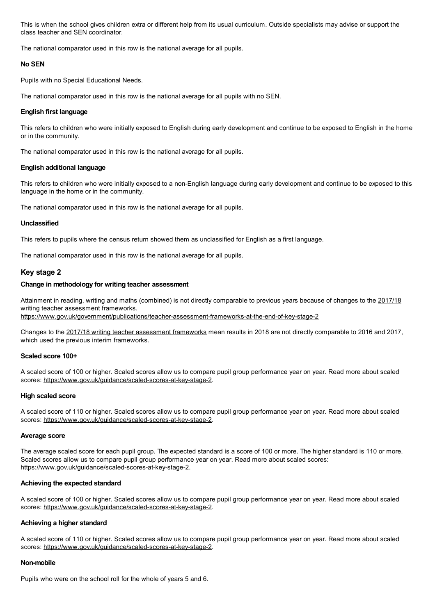This is when the school gives children extra or different help from its usual curriculum. Outside specialists may advise or support the class teacher and SEN coordinator.

The national comparator used in this row is the national average for all pupils.

#### **No SEN**

Pupils with no Special Educational Needs.

The national comparator used in this row is the national average for all pupils with no SEN.

### **English first language**

This refers to children who were initially exposed to English during early development and continue to be exposed to English in the home or in the community.

The national comparator used in this row is the national average for all pupils.

### **English additional language**

This refers to children who were initially exposed to a non-English language during early development and continue to be exposed to this language in the home or in the community.

The national comparator used in this row is the national average for all pupils.

### **Unclassified**

This refers to pupils where the census return showed them as unclassified for English as a first language.

The national comparator used in this row is the national average for all pupils.

### **Key stage 2**

### **Change in methodology for writing teacher assessment**

Attainment in reading, writing and maths (combined) is not directly [comparable](https://www.gov.uk/government/publications/teacher-assessment-frameworks-at-the-end-of-key-stage-2) to previous years because of changes to the 2017/18 writing teacher assessment frameworks.

<https://www.gov.uk/government/publications/teacher-assessment-frameworks-at-the-end-of-key-stage-2>

Changes to the 2017/18 writing teacher [assessment](https://www.gov.uk/government/publications/teacher-assessment-frameworks-at-the-end-of-key-stage-2) frameworks mean results in 2018 are not directly comparable to 2016 and 2017, which used the previous interim frameworks.

#### **Scaled score 100+**

A scaled score of 100 or higher. Scaled scores allow us to compare pupil group performance year on year. Read more about scaled scores: <https://www.gov.uk/guidance/scaled-scores-at-key-stage-2>.

#### **High scaled score**

A scaled score of 110 or higher. Scaled scores allow us to compare pupil group performance year on year. Read more about scaled scores: <https://www.gov.uk/guidance/scaled-scores-at-key-stage-2>.

#### **Average score**

The average scaled score for each pupil group. The expected standard is a score of 100 or more. The higher standard is 110 or more. Scaled scores allow us to compare pupil group performance year on year. Read more about scaled scores: <https://www.gov.uk/guidance/scaled-scores-at-key-stage-2>.

### **Achieving the expected standard**

A scaled score of 100 or higher. Scaled scores allow us to compare pupil group performance year on year. Read more about scaled scores: <https://www.gov.uk/guidance/scaled-scores-at-key-stage-2>.

### **Achieving a higher standard**

A scaled score of 110 or higher. Scaled scores allow us to compare pupil group performance year on year. Read more about scaled scores: <https://www.gov.uk/guidance/scaled-scores-at-key-stage-2>.

### **Non-mobile**

Pupils who were on the school roll for the whole of years 5 and 6.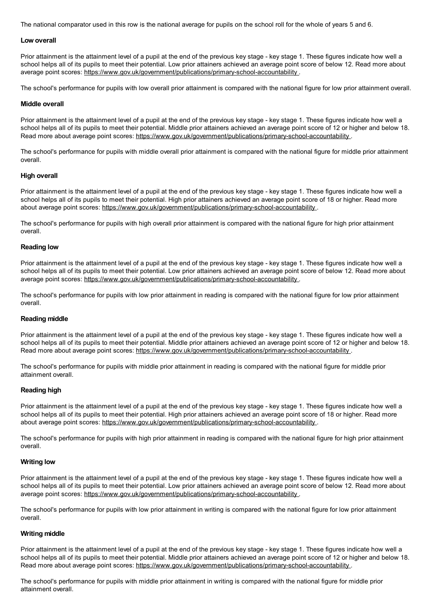The national comparator used in this row is the national average for pupils on the school roll for the whole of years 5 and 6.

#### **Low overall**

Prior attainment is the attainment level of a pupil at the end of the previous key stage - key stage 1. These figures indicate how well a school helps all of its pupils to meet their potential. Low prior attainers achieved an average point score of below 12. Read more about average point scores: <https://www.gov.uk/government/publications/primary-school-accountability> .

The school's performance for pupils with low overall prior attainment is compared with the national figure for low prior attainment overall.

#### **Middle overall**

Prior attainment is the attainment level of a pupil at the end of the previous key stage - key stage 1. These figures indicate how well a school helps all of its pupils to meet their potential. Middle prior attainers achieved an average point score of 12 or higher and below 18. Read more about average point scores: <https://www.gov.uk/government/publications/primary-school-accountability>

The school's performance for pupils with middle overall prior attainment is compared with the national figure for middle prior attainment overall.

#### **High overall**

Prior attainment is the attainment level of a pupil at the end of the previous key stage - key stage 1. These figures indicate how well a school helps all of its pupils to meet their potential. High prior attainers achieved an average point score of 18 or higher. Read more about average point scores: <https://www.gov.uk/government/publications/primary-school-accountability>.

The school's performance for pupils with high overall prior attainment is compared with the national figure for high prior attainment overall.

#### **Reading low**

Prior attainment is the attainment level of a pupil at the end of the previous key stage - key stage 1. These figures indicate how well a school helps all of its pupils to meet their potential. Low prior attainers achieved an average point score of below 12. Read more about average point scores: <https://www.gov.uk/government/publications/primary-school-accountability> .

The school's performance for pupils with low prior attainment in reading is compared with the national figure for low prior attainment overall.

#### **Reading middle**

Prior attainment is the attainment level of a pupil at the end of the previous key stage - key stage 1. These figures indicate how well a school helps all of its pupils to meet their potential. Middle prior attainers achieved an average point score of 12 or higher and below 18. Read more about average point scores: <https://www.gov.uk/government/publications/primary-school-accountability>.

The school's performance for pupils with middle prior attainment in reading is compared with the national figure for middle prior attainment overall.

#### **Reading high**

Prior attainment is the attainment level of a pupil at the end of the previous key stage - key stage 1. These figures indicate how well a school helps all of its pupils to meet their potential. High prior attainers achieved an average point score of 18 or higher. Read more about average point scores: <https://www.gov.uk/government/publications/primary-school-accountability>.

The school's performance for pupils with high prior attainment in reading is compared with the national figure for high prior attainment overall.

#### **Writing low**

Prior attainment is the attainment level of a pupil at the end of the previous key stage - key stage 1. These figures indicate how well a school helps all of its pupils to meet their potential. Low prior attainers achieved an average point score of below 12. Read more about average point scores: <https://www.gov.uk/government/publications/primary-school-accountability> .

The school's performance for pupils with low prior attainment in writing is compared with the national figure for low prior attainment overall.

### **Writing middle**

Prior attainment is the attainment level of a pupil at the end of the previous key stage - key stage 1. These figures indicate how well a school helps all of its pupils to meet their potential. Middle prior attainers achieved an average point score of 12 or higher and below 18. Read more about average point scores: <https://www.gov.uk/government/publications/primary-school-accountability>.

The school's performance for pupils with middle prior attainment in writing is compared with the national figure for middle prior attainment overall.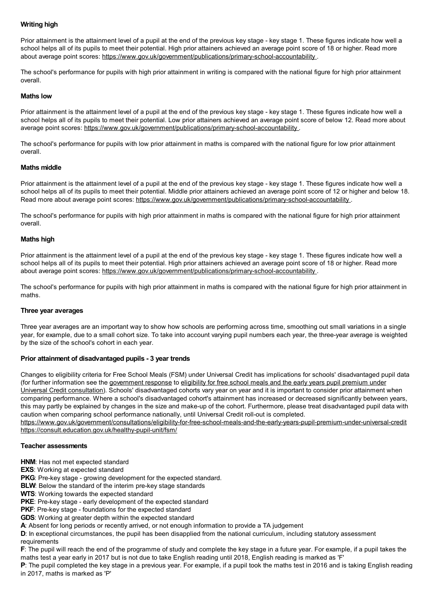### **Writing high**

Prior attainment is the attainment level of a pupil at the end of the previous key stage - key stage 1. These figures indicate how well a school helps all of its pupils to meet their potential. High prior attainers achieved an average point score of 18 or higher. Read more about average point scores: <https://www.gov.uk/government/publications/primary-school-accountability>.

The school's performance for pupils with high prior attainment in writing is compared with the national figure for high prior attainment overall.

#### **Maths low**

Prior attainment is the attainment level of a pupil at the end of the previous key stage - key stage 1. These figures indicate how well a school helps all of its pupils to meet their potential. Low prior attainers achieved an average point score of below 12. Read more about average point scores: <https://www.gov.uk/government/publications/primary-school-accountability> .

The school's performance for pupils with low prior attainment in maths is compared with the national figure for low prior attainment overall.

#### **Maths middle**

Prior attainment is the attainment level of a pupil at the end of the previous key stage - key stage 1. These figures indicate how well a school helps all of its pupils to meet their potential. Middle prior attainers achieved an average point score of 12 or higher and below 18. Read more about average point scores: <https://www.gov.uk/government/publications/primary-school-accountability>.

The school's performance for pupils with high prior attainment in maths is compared with the national figure for high prior attainment overall.

#### **Maths high**

Prior attainment is the attainment level of a pupil at the end of the previous key stage - key stage 1. These figures indicate how well a school helps all of its pupils to meet their potential. High prior attainers achieved an average point score of 18 or higher. Read more about average point scores: <https://www.gov.uk/government/publications/primary-school-accountability>.

The school's performance for pupils with high prior attainment in maths is compared with the national figure for high prior attainment in maths.

#### **Three year averages**

Three year averages are an important way to show how schools are performing across time, smoothing out small variations in a single year, for example, due to a small cohort size. To take into account varying pupil numbers each year, the three-year average is weighted by the size of the school's cohort in each year.

#### **Prior attainment of disadvantaged pupils - 3 year trends**

Changes to eligibility criteria for Free School Meals (FSM) under Universal Credit has implications for schools' disadvantaged pupil data (for further information see the [government](https://www.gov.uk/government/consultations/eligibility-for-free-school-meals-and-the-early-years-pupil-premium-under-universal-credit) response to eligibility for free school meals and the early years pupil premium under Universal Credit consultation). Schools' [disadvantaged](https://consult.education.gov.uk/healthy-pupil-unit/fsm/) cohorts vary year on year and it is important to consider prior attainment when comparing performance. Where a school's disadvantaged cohort's attainment has increased or decreased significantly between years, this may partly be explained by changes in the size and make-up of the cohort. Furthermore, please treat disadvantaged pupil data with caution when comparing school performance nationally, until Universal Credit roll-out is completed.

<https://www.gov.uk/government/consultations/eligibility-for-free-school-meals-and-the-early-years-pupil-premium-under-universal-credit> <https://consult.education.gov.uk/healthy-pupil-unit/fsm/>

#### **Teacher assessments**

**HNM**: Has not met expected standard

**EXS:** Working at expected standard

**PKG**: Pre-key stage - growing development for the expected standard.

**BLW:** Below the standard of the interim pre-key stage standards

**WTS**: Working towards the expected standard

**PKE**: Pre-key stage - early development of the expected standard

**PKF:** Pre-key stage - foundations for the expected standard

**GDS**: Working at greater depth within the expected standard

**A**: Absent for long periods or recently arrived, or not enough information to provide a TA judgement

**D**: In exceptional circumstances, the pupil has been disapplied from the national curriculum, including statutory assessment requirements

**F**: The pupil will reach the end of the programme of study and complete the key stage in a future year. For example, if a pupil takes the maths test a year early in 2017 but is not due to take English reading until 2018, English reading is marked as 'F'

**P**: The pupil completed the key stage in a previous year. For example, if a pupil took the maths test in 2016 and is taking English reading in 2017, maths is marked as 'P'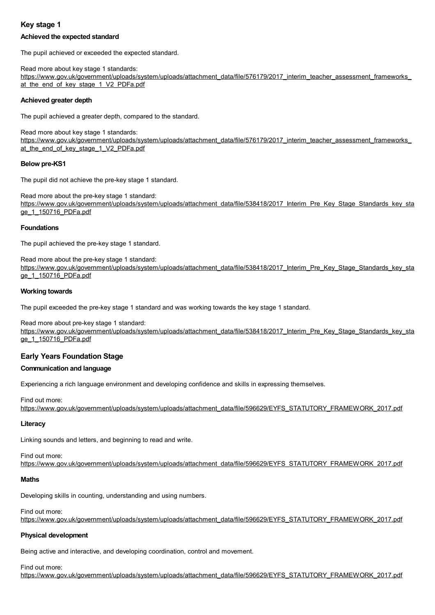### **Key stage 1**

### **Achieved the expected standard**

The pupil achieved or exceeded the expected standard.

Read more about key stage 1 standards: [https://www.gov.uk/government/uploads/system/uploads/attachment\\_data/file/576179/2017\\_interim\\_teacher\\_assessment\\_frameworks\\_](https://www.gov.uk/government/uploads/system/uploads/attachment_data/file/576179/2017_interim_teacher_assessment_frameworks_at_the_end_of_key_stage_1_V2_PDFa.pdf) at\_the\_end\_of\_key\_stage\_1\_V2\_PDFa.pdf

### **Achieved greater depth**

The pupil achieved a greater depth, compared to the standard.

Read more about key stage 1 standards: [https://www.gov.uk/government/uploads/system/uploads/attachment\\_data/file/576179/2017\\_interim\\_teacher\\_assessment\\_frameworks\\_](https://www.gov.uk/government/uploads/system/uploads/attachment_data/file/576179/2017_interim_teacher_assessment_frameworks_at_the_end_of_key_stage_1_V2_PDFa.pdf) at\_the\_end\_of\_key\_stage\_1\_V2\_PDFa.pdf

### **Below pre-KS1**

The pupil did not achieve the pre-key stage 1 standard.

Read more about the pre-key stage 1 standard: [https://www.gov.uk/government/uploads/system/uploads/attachment\\_data/file/538418/2017\\_Interim\\_Pre\\_Key\\_Stage\\_Standards\\_key\\_sta](https://www.gov.uk/government/uploads/system/uploads/attachment_data/file/538418/2017_Interim_Pre_Key_Stage_Standards_key_stage_1_150716_PDFa.pdf) ge 1 150716 PDFa.pdf

### **Foundations**

The pupil achieved the pre-key stage 1 standard.

Read more about the pre-key stage 1 standard: [https://www.gov.uk/government/uploads/system/uploads/attachment\\_data/file/538418/2017\\_Interim\\_Pre\\_Key\\_Stage\\_Standards\\_key\\_sta](https://www.gov.uk/government/uploads/system/uploads/attachment_data/file/538418/2017_Interim_Pre_Key_Stage_Standards_key_stage_1_150716_PDFa.pdf) ge\_1\_150716\_PDFa.pdf

### **Working towards**

The pupil exceeded the pre-key stage 1 standard and was working towards the key stage 1 standard.

Read more about pre-key stage 1 standard:

[https://www.gov.uk/government/uploads/system/uploads/attachment\\_data/file/538418/2017\\_Interim\\_Pre\\_Key\\_Stage\\_Standards\\_key\\_sta](https://www.gov.uk/government/uploads/system/uploads/attachment_data/file/538418/2017_Interim_Pre_Key_Stage_Standards_key_stage_1_150716_PDFa.pdf) ge\_1\_150716\_PDFa.pdf

### **Early Years Foundation Stage**

### **Communication and language**

Experiencing a rich language environment and developing confidence and skills in expressing themselves.

Find out more: [https://www.gov.uk/government/uploads/system/uploads/attachment\\_data/file/596629/EYFS\\_STATUTORY\\_FRAMEWORK\\_2017.pdf](https://www.gov.uk/government/uploads/system/uploads/attachment_data/file/596629/EYFS_STATUTORY_FRAMEWORK_2017.pdf)

### **Literacy**

Linking sounds and letters, and beginning to read and write.

Find out more: [https://www.gov.uk/government/uploads/system/uploads/attachment\\_data/file/596629/EYFS\\_STATUTORY\\_FRAMEWORK\\_2017.pdf](https://www.gov.uk/government/uploads/system/uploads/attachment_data/file/596629/EYFS_STATUTORY_FRAMEWORK_2017.pdf)

#### **Maths**

Developing skills in counting, understanding and using numbers.

Find out more:

[https://www.gov.uk/government/uploads/system/uploads/attachment\\_data/file/596629/EYFS\\_STATUTORY\\_FRAMEWORK\\_2017.pdf](https://www.gov.uk/government/uploads/system/uploads/attachment_data/file/596629/EYFS_STATUTORY_FRAMEWORK_2017.pdf)

### **Physical development**

Being active and interactive, and developing coordination, control and movement.

Find out more:

[https://www.gov.uk/government/uploads/system/uploads/attachment\\_data/file/596629/EYFS\\_STATUTORY\\_FRAMEWORK\\_2017.pdf](https://www.gov.uk/government/uploads/system/uploads/attachment_data/file/596629/EYFS_STATUTORY_FRAMEWORK_2017.pdf)